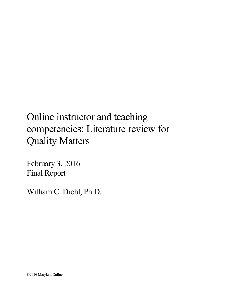February 3, 2016 Final Report

William C. Diehl, Ph.D.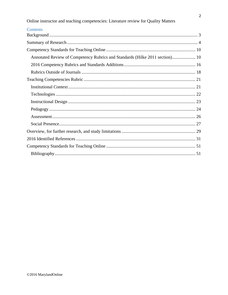| Contents                                                                     |  |
|------------------------------------------------------------------------------|--|
|                                                                              |  |
|                                                                              |  |
|                                                                              |  |
| Annotated Review of Competency Rubrics and Standards (Hilke 2011 section) 10 |  |
|                                                                              |  |
|                                                                              |  |
|                                                                              |  |
|                                                                              |  |
|                                                                              |  |
|                                                                              |  |
|                                                                              |  |
|                                                                              |  |
|                                                                              |  |
|                                                                              |  |
|                                                                              |  |
|                                                                              |  |
|                                                                              |  |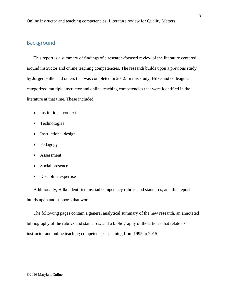# <span id="page-2-0"></span>Background

This report is a summary of findings of a research-focused review of the literature centered around instructor and online teaching competencies. The research builds upon a previous study by Jurgen Hilke and others that was completed in 2012. In this study, Hilke and colleagues categorized multiple instructor and online teaching competencies that were identified in the literature at that time. These included:

- Institutional context
- Technologies
- Instructional design
- Pedagogy
- Assessment
- Social presence
- Discipline expertise

Additionally, Hilke identified myriad competency rubrics and standards, and this report builds upon and supports that work.

The following pages contain a general analytical summary of the new research, an annotated bibliography of the rubrics and standards, and a bibliography of the articles that relate to instructor and online teaching competencies spanning from 1995 to 2015.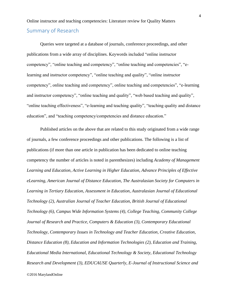# <span id="page-3-0"></span>Online instructor and teaching competencies: Literature review for Quality Matters Summary of Research

Queries were targeted at a database of journals, conference proceedings, and other publications from a wide array of disciplines. Keywords included "online instructor competency", "online teaching and competency", "online teaching and competencies", "elearning and instructor competency", "online teaching and quality", "online instructor competency", online teaching and competency", online teaching and competencies", "e-learning and instructor competency", "online teaching and quality", "web based teaching and quality", "online teaching effectiveness", "e-learning and teaching quality", "teaching quality and distance education", and "teaching competency/competencies and distance education."

Published articles on the above that are related to this study originated from a wide range of journals, a few conference proceedings and other publications. The following is a list of publications (if more than one article in publication has been dedicated to online teaching competency the number of articles is noted in parenthesizes) including *Academy of Management Learning and Education, Active Learning in Higher Education, Advance Principles of Effective eLearning, American Journal of Distance Education, The Australasian Society for Computers in Learning in Tertiary Education, Assessment in Education, Australasian Journal of Educational Technology (2), Australian Journal of Teacher Education, British Journal of Educational Technology (6), Campus Wide Information Systems (4), College Teaching, Community College Journal of Research and Practice, Computers & Education (3), Contemporary Educational Technology, Contemporary Issues in Technology and Teacher Education, Creative Education, Distance Education (8), Education and Information Technologies (2), Education and Training, Educational Media International, Educational Technology & Society, Educational Technology Research and Development (3), EDUCAUSE Quarterly, E-Journal of Instructional Science and*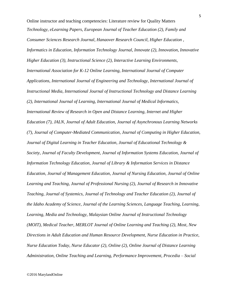Online instructor and teaching competencies: Literature review for Quality Matters *Technology, eLearning Papers, European Journal of Teacher Education (2), Family and Consumer Sciences Research Journal, Hanaover Research Council, Higher Education , Informatics in Education, Information Technology Journal, Innovate (2), Innovation, Innovative Higher Education (3), Instructional Science (2), Interactive Learning Environments, International Association for K-12 Online Learning, International Journal of Computer Applications, International Journal of Engineering and Technology, International Journal of Instructional Media, International Journal of Instructional Technology and Distance Learning (2), International Journal of Learning, International Journal of Medical Informatics, International Review of Research in Open and Distance Learning, Internet and Higher Education (7), JALN, Journal of Adult Education, Journal of Asynchronous Learning Networks (7), Journal of Computer-Mediated Communication, Journal of Computing in Higher Education, Journal of Digital Learning in Teacher Education, Journal of Educational Technology & Society, Journal of Faculty Development, Journal of Information Systems Education, Journal of Information Technology Education, Journal of Library & Information Services in Distance Education, Journal of Management Education, Journal of Nursing Education, Journal of Online Learning and Teaching, Journal of Professional Nursing (2), Journal of Research in Innovative Teaching, Journal of Systemics, Journal of Technology and Teacher Education (2), Journal of the Idaho Academy of Science, Journal of the Learning Sciences, Language Teaching, Learning, Learning, Media and Technology, Malaysian Online Journal of Instructional Technology (MOIT), Medical Teacher, MERLOT Journal of Online Learning and Teaching (2), Most, New Directions in Adult Education and Human Resource Development, Nurse Education in Practice, Nurse Education Today, Nurse Educator (2), Online (2), Online Journal of Distance Learning Administration, Online Teaching and Learning, Performance Improvement, Procedia – Social*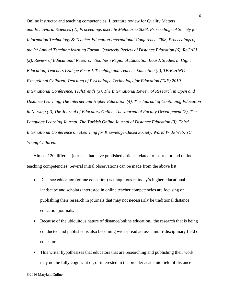Online instructor and teaching competencies: Literature review for Quality Matters *and Behavioral Sciences (7), Proceedings asci lite Melbourne 2008, Proceedings of Society for Information Technology & Teacher Education International Conference 2008, Proceedings of the 9th Annual Teaching learning Forum, Quarterly Review of Distance Education (6), ReCALL (2), Review of Educational Research, Southern Regional Education Board, Studies in Higher Education, Teachers College Record, Teaching and Teacher Education (2), TEACHING Exceptional Children, Teaching of Psychology, Technology for Education (T4E) 2010 International Conference, TechTrends (3), The International Review of Research in Open and Distance Learning, The Internet and Higher Education (4), The Journal of Continuing Education in Nursing (2), The Journal of Educators Online, The Journal of Faculty Development (2), The Language Learning Journal, The Turkish Online Journal of Distance Education (3), Third International Conference on eLearning for Knowledge-Based Society, World Wide Web, YC Young Children.* 

Almost 120 different journals that have published articles related to instructor and online teaching competencies. Several initial observations can be made from the above list:

- Distance education (online education) is ubiquitous in today's higher educational landscape and scholars interested in online teacher competencies are focusing on publishing their research in journals that may not necessarily be traditional distance education journals.
- Because of the ubiquitous nature of distance/online education., the research that is being conducted and published is also becoming widespread across a multi-disciplinary field of educators.
- This writer hypothesizes that educators that are researching and publishing their work may not be fully cognizant of, or interested in the broader academic field of distance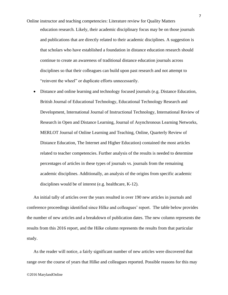- Online instructor and teaching competencies: Literature review for Quality Matters education research. Likely, their academic disciplinary focus may be on those journals and publications that are directly related to their academic disciplines. A suggestion is that scholars who have established a foundation in distance education research should continue to create an awareness of traditional distance education journals across disciplines so that their colleagues can build upon past research and not attempt to "reinvent the wheel" or duplicate efforts unnecessarily.
	- Distance and online learning and technology focused journals (e.g. Distance Education, British Journal of Educational Technology, Educational Technology Research and Development, International Journal of Instructional Technology, International Review of Research in Open and Distance Learning, Journal of Asynchronous Learning Networks, MERLOT Journal of Online Learning and Teaching, Online, Quarterly Review of Distance Education, The Internet and Higher Education) contained the most articles related to teacher competencies. Further analysis of the results is needed to determine percentages of articles in these types of journals vs. journals from the remaining academic disciplines. Additionally, an analysis of the origins from specific academic disciplines would be of interest (e.g. healthcare, K-12).

An initial tally of articles over the years resulted in over 190 new articles in journals and conference proceedings identified since Hilke and colleagues' report. The table below provides the number of new articles and a breakdown of publication dates. The new column represents the results from this 2016 report, and the Hilke column represents the results from that particular study.

As the reader will notice, a fairly significant number of new articles were discovered that range over the course of years that Hilke and colleagues reported. Possible reasons for this may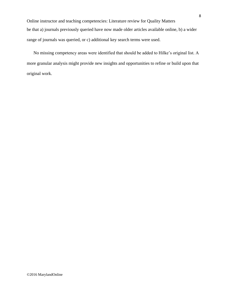Online instructor and teaching competencies: Literature review for Quality Matters be that a) journals previously queried have now made older articles available online, b) a wider range of journals was queried, or c) additional key search terms were used.

No missing competency areas were identified that should be added to Hilke's original list. A more granular analysis might provide new insights and opportunities to refine or build upon that original work.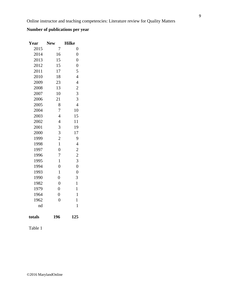# **Number of publications per year**

| Year   | <b>New</b>     | <b>Hilke</b>   |
|--------|----------------|----------------|
| 2015   | 7              | $\overline{0}$ |
| 2014   | 16             | $\overline{0}$ |
| 2013   | 15             | $\overline{0}$ |
| 2012   | 15             | $\overline{0}$ |
| 2011   | 17             | 5              |
| 2010   | 18             | $\overline{4}$ |
| 2009   | 23             | $\overline{4}$ |
| 2008   | 13             | $\overline{c}$ |
| 2007   | 10             | 3              |
| 2006   | 21             | 3              |
| 2005   | 8              | $\overline{4}$ |
| 2004   | 7              | 10             |
| 2003   | $\overline{4}$ | 15             |
| 2002   | $\overline{4}$ | 11             |
| 2001   | 3              | 19             |
| 2000   | 3              | 17             |
| 1999   | $\overline{c}$ | 9              |
| 1998   | $\mathbf{1}$   | $\overline{4}$ |
| 1997   | $\overline{0}$ | $\overline{c}$ |
| 1996   | $\overline{7}$ | $\overline{c}$ |
| 1995   | $\mathbf{1}$   | 3              |
| 1994   | $\overline{0}$ | $\overline{0}$ |
| 1993   | $\mathbf{1}$   | $\overline{0}$ |
| 1990   | $\overline{0}$ | 3              |
| 1982   | $\overline{0}$ | $\mathbf{1}$   |
| 1979   | $\overline{0}$ | $\mathbf{1}$   |
| 1964   | $\overline{0}$ | $\mathbf{1}$   |
| 1962   | $\overline{0}$ | $\mathbf{1}$   |
| nd     |                | 1              |
| totals | 196            | 125            |

Table 1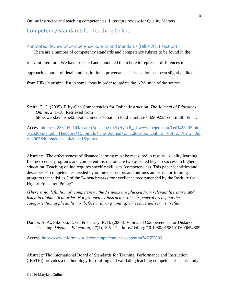# <span id="page-9-0"></span>Competency Standards for Teaching Online

## <span id="page-9-1"></span>Annotated Review of Competency Rubrics and Standards (Hilke 2011 section)

There are a number of competency standards and competency rubrics to be found in the

relevant literature. We have selected and annotated them here to represent differences in

approach, amount of detail and institutional provenance. This section has been slightly edited

from Hilke's original list in some areas in order to update the APA style of the source.

Smith, T. C. (2005). Fifty-One Competencies for Online Instruction. *The Journal of Educators Online*, *2*, 1–18. Retrieved from http://web.kennisnet2.nl/attachments/session=cloud\_mmbase+1690923/Ted\_Smith\_Final.

Access[:http://64.233.169.104/search?q=cache:fb2NHy1c8\\_gJ:www.thejeo.com/Ted%2520Smith](http://64.233.169.104/search?q=cache:fb2NHy1c8_gJ:www.thejeo.com/Ted%2520Smith%2520Final.pdf+Theodore+C.+Smith,+The+Journal+of+) [%2520Final.pdf+Theodore+C.+Smith,+The+Journal+of+Educators+Online,+Vol+2,+No+2,+Jul](http://64.233.169.104/search?q=cache:fb2NHy1c8_gJ:www.thejeo.com/Ted%2520Smith%2520Final.pdf+Theodore+C.+Smith,+The+Journal+of+) [y+2005&hl=en&ct=clnk&cd=1&gl=us](http://64.233.169.104/search?q=cache:fb2NHy1c8_gJ:www.thejeo.com/Ted%2520Smith%2520Final.pdf+Theodore+C.+Smith,+The+Journal+of+)

Abstract: "The effectiveness of distance learning must be measured in results—quality learning. Learner-center programs and competent instructors are two oft-cited keys to success in higher education. Teaching online requires specific skill sets (competencies). This paper identifies and describes 51 competencies needed by online instructors and outlines an instructor-training program that satisfies 3 of the 24 benchmarks for excellence recommended by the Institute for Higher Education Policy".

*(There is no definition of 'competency', the 51 items are plucked from relevant literature. and listed in alphabetical order. Not grouped by instructor roles or general areas, but the categorization applicability to 'before', 'during' and 'after' course delivery is useful).*

Darabi, A. A., Sikorski, E. G., & Harvey, R. B. (2006). Validated Competencies for Distance Teaching. *Distance Education*, *27*(1), 105–122. http://doi.org/10.1080/01587910600654809

Access: [http://www.informaworld.com/smpp/content~content=a747655809](file:///C:/Users/Will/Documents/COAT/%3ccurrent%20document%3ehttp:/www.informaworld.com/smpp/content~content=a747655809)

Abstract:"The International Board of Standards for Training, Performance and Instruction (IBSTPI) provides a methodology for drafting and validating teaching competencies. This study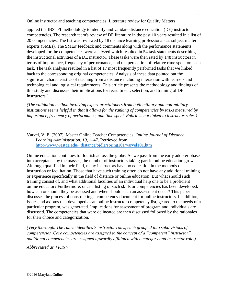applied the IBSTPI methodology to identify and validate distance education (DE) instructor competencies. The research team's review of DE literature in the past 10 years resulted in a list of 20 competencies. The list was reviewed by 18 distance learning professionals as subject matter experts (SMEs). The SMEs' feedback and comments along with the performance statements developed for the competencies were analyzed which resulted in 54 task statements describing the instructional activities of a DE instructor. These tasks were then rated by 148 instructors in terms of importance, frequency of performance, and the perception of relative rime spent on each task. The task analysis resulted in a list of 17 most frequently performed tasks that we linked back to the corresponding original competencies. Analysis of these data pointed out the significant characteristics of teaching from a distance including interaction with learners and technological and logistical requirements. This article presents the methodology and findings of this study and discusses their implications for recruitment, selection, and training of DE instructors".

*(The validation method involving expert practitioners from both military and non-military institutions seems helpful in that it allows for the ranking of competencies by tasks measured by importance, frequency of performance, and time spent. Rubric is not linked to instructor roles.)*

Varvel, V. E. (2007). Master Online Teacher Competencies. *Online Journal of Distance Learning Administration*, *10*, 1–47. Retrieved from <http://www.westga.edu/~distance/ojdla/spring101/varvel101.htm>

Online education continues to flourish across the globe. As we pass from the early adopter phase into acceptance by the masses, the number of instructors taking part in online education grows. Although qualified in their field, many instructors have no education in the methods of instruction or facilitation. Those that have such training often do not have any additional training or experience specifically in the field of distance or online education. But what should such training consist of, and what additional faculties of an individual help one to be a proficient online educator? Furthermore, once a listing of such skills or competencies has been developed, how can or should they be assessed and when should such an assessment occur? This paper discusses the process of constructing a competency document for online instructors. In addition, issues and axioms that developed as an online instructor competency list, geared to the needs of a particular program, was generated. Implications for assessment of program and individuals are discussed. The competencies that were delineated are then discussed followed by the rationales for their choice and categorization.

*(Very thorough. The rubric identifies 7 instructor roles, each grouped into subdivisions of competencies. Core competencies are assigned to the concept of a "competent" instructor", additional competencies are assigned upwardly affiliated with a category and instructor role.)*

*Abbreviated as <ION>*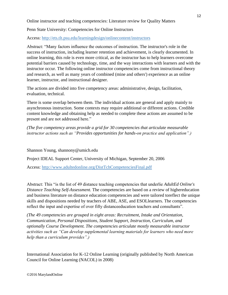Penn State University: Competencies for Online Instructors

Access:<http://ets.tlt.psu.edu/learningdesign/onlinecontent/instructors>

Abstract: "Many factors influence the outcomes of instruction. The instructor's role in the success of instruction, including learner retention and achievement, is clearly documented. In online learning, this role is even more critical, as the instructor has to help learners overcome potential barriers caused by technology, time, and the way interactions with learners and with the instructor occur. The following online instructor competencies come from instructional theory and research, as well as many years of combined (mine and others') experience as an online learner, instructor, and instructional designer.

The actions are divided into five competency areas: administrative, design, facilitation, evaluation, technical.

There is some overlap between them. The individual actions are general and apply mainly to asynchronous instruction. Some contexts may require additional or different actions. Credible content knowledge and obtaining help as needed to complete these actions are assumed to be present and are not addressed here."

*(The five competency areas provide a grid for 30 competencies that articulate measurable instructor actions such as "Provides opportunities for hands-on practice and application".)*

Shannon Young, shannony@umich.edu

Project IDEAL Support Center, University of Michigan, September 20, 2006

Access:<http://www.adultedonline.org/DistTchCompetenciesFinal.pdf>

Abstract: This "is the list of 49 distance teaching competencies that underlie *AdultEd Online's Distance Teaching Self-Assessment.* The competencies are based on a review of highereducation and business literature on distance education competencies and were tailored toreflect the unique skills and dispositions needed by teachers of ABE, ASE, and ESOLlearners. The competencies reflect the input and expertise of over fifty distanceeducation teachers and consultants".

*(The 49 competencies are grouped in eight areas: Recruitment, Intake and Orientation, Communication, Personal Dispositions, Student Support, Instruction, Curriculum, and optionally Course Development. The competencies articulate mostly measurable instructor activities such as "Can develop supplemental learning materials for learners who need more help than a curriculum provides".)*

International Association for K-12 Online Learning (originally published by North American Council for Online Learning (NACOL) in 2008)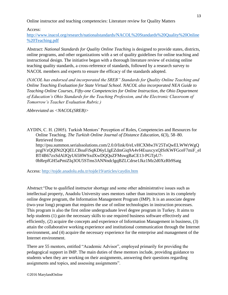Access:

[http://www.inacol.org/research/nationalstandards/NACOL%20Standards%20Quality%20Online](http://www.inacol.org/research/nationalstandards/NACOL%20Standards%20Quality%20Online%20Teaching.pdf) [%20Teaching.pdf](http://www.inacol.org/research/nationalstandards/NACOL%20Standards%20Quality%20Online%20Teaching.pdf)

Abstract: *National Standards for Quality Online Teaching* is designed to provide states, districts, online programs, and other organizations with a set of quality guidelines for online teaching and instructional design. The initiative began with a thorough literature review of existing online teaching quality standards, a cross-reference of standards, followed by a research survey to NACOL members and experts to ensure the efficacy of the standards adopted.

*(NACOL has endorsed and incorporated the SREB" Standards for Quality Online Teaching and Online Teaching Evaluation for State Virtual School. NACOL also incorporated NEA Guide to Teaching Online Courses, Fifty-one Competencies for Online Instruction, the Ohio Department of Education's Ohio Standards for the Teaching Profession, and the Electronic Classroom of Tomorrow's Teacher Evaluation Rubric.)*

*Abbreviated as <NACOL(SREB)>*

AYDIN, C. H. (2005). Turkish Mentors' Perception of Roles, Competencies and Resources for Online Teaching. *The Turkish Online Journal of Distance Education*, *6*(3), 58–80. Retrieved from http://psu.summon.serialssolutions.com/2.0.0/link/0/eLvHCXMw3V25TsQwELWWrWgQ pzglVzQQlNt2QQELCBoaFiSqKD6yLIgEZdmGiq9A4vf4EsaxcyxQISrKWFGceF7miF\_eI BT4B67zxSdAlJQyU65HWSxdXwDQQuZFMswgBaCE13-PGTpU7- 0bRepfGH5aPmiZIq3OU5STms3ANNndclgqBZLCdrse1Jkz1Mz2d0XzRb9Satg

Access:<http://tojde.anadolu.edu.tr/tojde19/articles/caydin.htm>

Abstract:"Due to qualified instructor shortage and some other administrative issues such as intellectual property, Anadolu University uses mentors rather than instructors in its completely online degree program, the Information Management Program (IMP). It is an associate degree (two-year long) program that requires the use of online technologies in instruction processes. This program is also the first online undergraduate level degree program in Turkey. It aims to help students (1) gain the necessary skills to use required business software effectively and efficiently, (2) acquire the concepts and experience of Information Management in business, (3) attain the collaborative working experience and institutional communication through the Internet environment, and (4) acquire the necessary experience for the enterprise and management of the Internet environment.

There are 55 mentors, entitled "Academic Advisor", employed primarily for providing the pedagogical support in IMP. The main duties of these mentors include, providing guidance to students when they are working on their assignments, answering their questions regarding assignments and topics, and assessing assignments".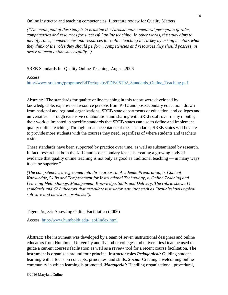*("The main goal of this study is to examine the Turkish online mentors' perception of roles, competencies and resources for successful online teaching. In other words, the study aims to identify roles, competencies and resources for online teaching in Turkey by asking mentors what they think of the roles they should perform, competencies and resources they should possess, in order to teach online successfully.")*

SREB Standards for Quality Online Teaching, August 2006

Access:

[http://www.sreb.org/programs/EdTech/pubs/PDF/06T02\\_Standards\\_Online\\_Teaching.pdf](http://www.sreb.org/programs/EdTech/pubs/PDF/06T02_Standards_Online_Teaching.pdf)

Abstract: "The standards for quality online teaching in this report were developed by knowledgeable, experienced resource persons from K-12 and postsecondary education, drawn from national and regional organizations, SREB state departments of education, and colleges and universities. Through extensive collaboration and sharing with SREB staff over many months, their work culminated in specific standards that SREB states can use to define and implement quality online teaching. Through broad acceptance of these standards, SREB states will be able to provide more students with the courses they need, regardless of where students and teachers reside.

These standards have been supported by practice over time, as well as substantiated by research. In fact, research at both the K-12 and postsecondary levels is creating a growing body of evidence that quality online teaching is not only as good as traditional teaching — in many ways it can be superior."

*(The competencies are grouped into three areas: a. Academic Preparation, b. Content Knowledge, Skills and Temperament for Instructional Technology, c. Online Teaching and Learning Methodology, Management, Knowledge, Skills and Delivery. The rubric shows 11 standards and 62 Indicators that articulate instructor activities such as "troubleshoots typical software and hardware problems").*

Tigers Project: Assessing Online Facilitation (2006)

Access:<http://www.humboldt.edu/~aof/index.html>

Abstract: The instrument was developed by a team of seven instructional designers and online educators from Humboldt University and five other colleges and universities.**It**can be used to guide a current course's facilitation as well as a review tool for a recent course facilitation. The instrument is organized around four principal instructor roles *Pedagogical:* Guiding student learning with a focus on concepts, principles, and skills. *Social:* Creating a welcoming online community in which learning is promoted. *Managerial:* Handling organizational, procedural,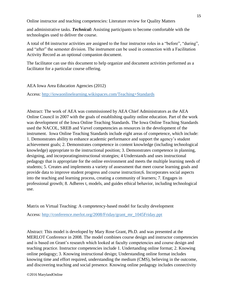and administrative tasks. *Technical:* Assisting participants to become comfortable with the technologies used to deliver the course.

A total of 84 instructor activities are assigned to the four instructor roles in a "before", "during", and "after" the semester division. The instrument can be used in connection with a Facilitation Activity Record as an optional companion document.

The facilitator can use this document to help organize and document activities performed as a facilitator for a particular course offering.

AEA Iowa Area Education Agencies (2012)

Access:<http://iowaonlinelearning.wikispaces.com/Teaching+Standards>

Abstract: The work of AEA was commissioned by AEA Chief Administrators as the AEA Online Council in 2007 with the goals of establishing quality online education. Part of the work was development of the Iowa Online Teaching Standards. The Iowa Online Teaching Standards used the NACOL, SREB and Varvel competencies as resources in the development of the instrument. Iowa Online Teaching Standards include eight areas of competence, which include: 1. Demonstrates ability to enhance academic performance and support the agency's student achievement goals; 2. Demonstrates competence in content knowledge (including technological knowledge) appropriate to the instructional position; 3. Demonstrates competence in planning, designing, and incorporatinginstructional strategies; 4 Understands and uses instructional pedagogy that is appropriate for the online environment and meets the multiple learning needs of students; 5. Creates and implements a variety of assessment that meet course learning goals and provide data to improve student progress and course instruction;6. Incorporates social aspects into the teaching and learning process, creating a community of learners; 7. Engages in professional growth; 8. Adheres t, models, and guides ethical behavior, including technological use.

Matrix on Virtual Teaching: A comptetency-based model for faculty development

Access: [http://conference.merlot.org/2008/Friday/grant\\_mr\\_1045Friday.ppt](http://conference.merlot.org/2008/Friday/grant_mr_1045Friday.ppt)

Abstract: This model is developed by Mary Rose Grant, Ph.D. and was presented at the MERLOT Conference in 2008. The model combines course design and instructor competencies and is based on Grant's research which looked at faculty competencies and course design and teaching practice. Instructor competencies include 1. Undertanding online format; 2. Knowing online pedagogy; 3. Knowing instructional design; Understanding online format includes knowing time and effort required, understanding the medium (CMS), believing in the outcome, and discovering teaching and social presence. Knowing online pedagogy includes connectivity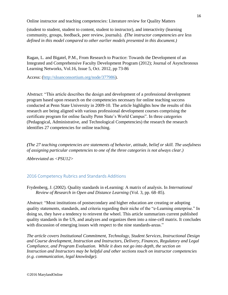(student to student, student to content, student to instructor), and interactivity (learning community, groups, feedback, peer review, journals). *(The instructor competencies are less defined in this model compared to other earlier models presented in this document.)*

Ragan, L. and Bigatel, P.M., From Research to Practice: Towards the Development of an Integrated and Comprehensive Faculty Development Program (2012); Journal of Asynchronous Learning Networks, Vol.16, Issue 5, Oct. 2012, pp 73-86

Access: [\(http://sloanconsortium.org/node/377986\)](http://sloanconsortium.org/node/377986).

Abstract: "This article describes the design and development of a professional development program based upon research on the competencies necessary for online teaching success conducted at Penn State University in 2009-10. The article highlights how the results of this research are being aligned with various professional development courses comprising the certificate program for online faculty Penn State's World Campus". In three categories (Pedagogical, Administrative, and Technological Competencies) the research the research identifies 27 competencies for online teaching.

*(The 27 teaching competencies are statements of behavior, attitude, belief or skill. The usefulness of assigning particular competencies to one of the three categories is not always clear.)*

*Abbreviated as <PSU12>*

# <span id="page-15-0"></span>2016 Competency Rubrics and Standards Additions

Frydenberg, J. (2002). Quality standards in eLearning: A matrix of analysis. In *International Review of Research in Open and Distance Learning* (Vol. 3, pp. 68–85).

Abstract: "Most institutions of postsecondary and higher education are creating or adopting quality statements, standards, and criteria regarding their niche of the "e-Learning enterprise." In doing so, they have a tendency to reinvent the wheel. This article summarizes current published quality standards in the US, and analyzes and organizes them into a nine-cell matrix. It concludes with discussion of emerging issues with respect to the nine standards-areas."

*The article covers Institutional Commitment, Technology, Student Services, Instructional Design and Course development, Instruction and Instructors, Delivery, Finances, Regulatory and Legal Compliance, and Program Evaluation. While it does not go into depth, the section on Instruction and Instructors may be helpful and other sections touch on instructor competencies (e.g. communication, legal knowledge).*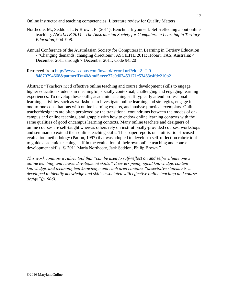- Northcote, M., Seddon, J., & Brown, P. (2011). Benchmark yourself: Self-reflecting about online teaching. *ASCILITE 2011 - The Australasian Society for Computers in Learning in Tertiary Education*, 904–908.
- Annual Conference of the Australasian Society for Computers in Learning in Tertiary Education - "Changing demands, changing directions", ASCILITE 2011; Hobart, TAS; Australia; 4 December 2011 through 7 December 2011; Code 94320

Retrieved from [http://www.scopus.com/inward/record.url?eid=2-s2.0-](http://www.scopus.com/inward/record.url?eid=2-s2.0-84870794668&partnerID=40&md5=eee37c0d03453171c53463c4fdc210b2) [84870794668&partnerID=40&md5=eee37c0d03453171c53463c4fdc210b2](http://www.scopus.com/inward/record.url?eid=2-s2.0-84870794668&partnerID=40&md5=eee37c0d03453171c53463c4fdc210b2)

Abstract: "Teachers need effective online teaching and course development skills to engage higher education students in meaningful, socially contextual, challenging and engaging learning experiences. To develop these skills, academic teaching staff typically attend professional learning activities, such as workshops to investigate online learning and strategies, engage in one-to-one consultations with online learning experts, and analyse practical exemplars. Online teacher/designers are often perplexed by the transitional conundrums between the modes of oncampus and online teaching, and grapple with how to endow online learning contexts with the same qualities of good oncampus learning contexts. Many online teachers and designers of online courses are self-taught whereas others rely on institutionally-provided courses, workshops and seminars to extend their online teaching skills. This paper reports on a utilisation-focused evaluation methodology (Patton, 1997) that was adopted to develop a self-reflection rubric tool to guide academic teaching staff in the evaluation of their own online teaching and course development skills. © 2011 Maria Northcote, Jack Seddon, Philip Brown."

*This work contains a rubric tool that "can be used to self-reflect on and self-evaluate one's online teaching and course development skills." It covers pedagogical knowledge, content knowledge, and technological knowledge and each area contains "descriptive statements … developed to identify knowledge and skills associated with effective online teaching and course design"(p. 906).*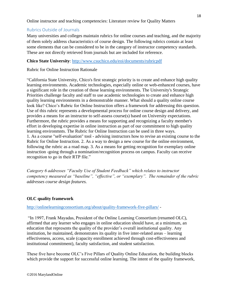# <span id="page-17-0"></span>Rubrics Outside of Journals

Many universities and colleges maintain rubrics for online courses and teaching, and the majority of them solely address characteristics of course design. The following rubrics contain at least some elements that can be considered to be in the category of instructor competency standards. These are not directly retrieved from journals but are included for reference.

## **Chico State University**:<http://www.csuchico.edu/eoi/documents/rubricpdf>

## Rubric for Online Instruction Rationale

"California State University, Chico's first strategic priority is to create and enhance high quality learning environments. Academic technologies, especially online or web-enhanced courses, have a significant role in the creation of those learning environments. The University's Strategic Priorities challenge faculty and staff to use academic technologies to create and enhance high quality learning environments in a demonstrable manner. What should a quality online course look like? Chico's Rubric for Online Instruction offers a framework for addressing this question. Use of this rubric represents a developmental process for online course design and delivery, and provides a means for an instructor to self-assess course(s) based on University expectations. Furthermore, the rubric provides a means for supporting and recognizing a faculty member's effort in developing expertise in online instruction as part of our commitment to high quality learning environmnts. The Rubric for Online Instruction can be used in three ways. 1. As a course "self-evaluation" tool - advising instructors how to revise an existing course to the Rubric for Online Instruction. 2. As a way to design a new course for the online environment, following the rubric as a road map. 3. As a means for getting recognition for exemplary online instruction -going through a nomination/recognition process on campus. Faculty can receive recognition to go in their RTP file."

*Category 6 addresses "Faculty Use of Student Feedback" which relates to instructor competency measured as "baseline", "effective", or "exemplary". The remainder of the rubric addresses course design features.* 

## **OLC quality framework**

#### <http://onlinelearningconsortium.org/about/quality-framework-five-pillars/> -

"In 1997, Frank Mayadas, President of the Online Learning Consortium (renamed OLC), affirmed that any learner who engages in online education should have, at a minimum, an education that represents the quality of the provider's overall institutional quality. Any institution, he maintained, demonstrates its quality in five inter-related areas – learning effectiveness, access, scale (capacity enrollment achieved through cost-effectiveness and institutional commitment), faculty satisfaction, and student satisfaction.

These five have become OLC's Five Pillars of Quality Online Education, the building blocks which provide the support for successful online learning. The intent of the quality framework,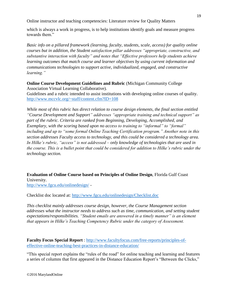which is always a work in progress, is to help institutions identify goals and measure progress towards them."

*Basic info on a pillared framework (learning, faculty, students, scale, access) for quality online courses but in addition, the Student satisfaction pillar addresses "appropriate, constructive, and substantive interaction with faculty" and notes that "Effective professors help students achieve learning outcomes that match course and learner objectives by using current information and communications technologies to support active, individualized, engaged, and constructive learning."*

**Online Course Development Guidelines and Rubric** (Michigan Community College Association Virtual Learning Collaborative).

Guidelines and a rubric intended to assist institutions with developing online courses of quality. <http://www.mccvlc.org/~staff/content.cfm?ID=108>

*While most of this rubric has direct relation to course design elements, the final section entitled "Course Development and Support" addresses "appropriate training and technical support" as part of the rubric. Criteria are ranked from Beginning, Developing, Accomplished, and Exemplary, with the scoring based upon no access to training to "informal" to "formal" including and up to "some formal Online Teaching Certification program." Another note in this section addresses Faculty access to technology, and this could be considered a technology area. In Hilke's rubric, "access" is not addressed – only knowledge of technologies that are used in the course. This is a bullet point that could be considered for addition to Hilke's rubric under the technology section.* 

**Evaluation of Online Course based on Principles of Online Design**, Florida Gulf Coast University. <http://www.fgcu.edu/onlinedesign/> -

Checklist doc located at:<http://www.fgcu.edu/onlinedesign/Checklist.doc>

*This checklist mainly addresses course design, however, the Course Management section addresses what the instructor needs to address such as time, communication, and setting student expectations/responsibilities. "Student emails are answered in a timely manner" is an element that appears in Hilke's Teaching Competency Rubric under the category of Assessment.* 

**Faculty Focus Special Report** : [http://www.facultyfocus.com/free-reports/principles-of](http://www.facultyfocus.com/free-reports/principles-of-effective-online-teaching-best-practices-in-distance-education/)[effective-online-teaching-best-practices-in-distance-education/](http://www.facultyfocus.com/free-reports/principles-of-effective-online-teaching-best-practices-in-distance-education/)

"This special report explains the "rules of the road" for online teaching and learning and features a series of columns that first appeared in the Distance Education Report's "Between the Clicks,"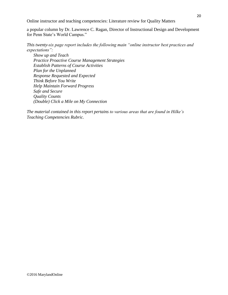a popular column by Dr. Lawrence C. Ragan, Director of Instructional Design and Development for Penn State's World Campus."

*This twenty-six page report includes the following main "online instructor best practices and expectations":* 

*Show up and Teach Practice Proactive Course Management Strategies Establish Patterns of Course Activities Plan for the Unplanned Response Requested and Expected Think Before You Write Help Maintain Forward Progress Safe and Secure Quality Counts (Double) Click a Mile on My Connection*

*The material contained in this report pertains to various areas that are found in Hilke's Teaching Competencies Rubric.*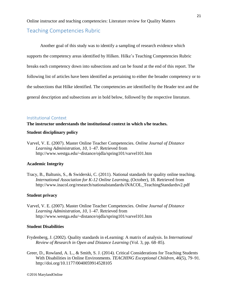# <span id="page-20-0"></span>Teaching Competencies Rubric

Another goal of this study was to identify a sampling of research evidence which supports the competency areas identified by Hilken. Hilke's Teaching Competencies Rubric breaks each competency down into subsections and can be found at the end of this report. The following list of articles have been identified as pertaining to either the broader competency or to the subsections that Hilke identified. The competencies are identified by the Header text and the general description and subsections are in bold below, followed by the respective literature.

#### <span id="page-20-1"></span>Institutional Context

#### **The instructor understands the institutional context in which s/he teaches.**

#### **Student disciplinary policy**

Varvel, V. E. (2007). Master Online Teacher Competencies. *Online Journal of Distance Learning Administration*, *10*, 1–47. Retrieved from http://www.westga.edu/~distance/ojdla/spring101/varvel101.htm

#### **Academic Integrity**

Tracy, B., Baltunis, S., & Swiderski, C. (2011). National standards for quality online teaching. *International Association for K-12 Online Learning*, (October), 18. Retrieved from http://www.inacol.org/research/nationalstandards/iNACOL\_TeachingStandardsv2.pdf

#### **Student privacy**

Varvel, V. E. (2007). Master Online Teacher Competencies. *Online Journal of Distance Learning Administration*, *10*, 1–47. Retrieved from http://www.westga.edu/~distance/ojdla/spring101/varvel101.htm

#### **Student Disabilities**

- Frydenberg, J. (2002). Quality standards in eLearning: A matrix of analysis. In *International Review of Research in Open and Distance Learning* (Vol. 3, pp. 68–85).
- Greer, D., Rowland, A. L., & Smith, S. J. (2014). Critical Considerations for Teaching Students With Disabilities in Online Environments. *TEACHING Exceptional Children*, *46*(5), 79–91. http://doi.org/10.1177/0040059914528105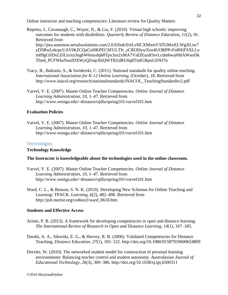Repetto, J., Cavanaugh, C., Wayer, N., & Liu, F. (2010). Virtual high schools: improving outcomes for students with disabilities. *Quarterly Review of Distance Education*, *11*(2), 91. Retrieved from http://psu.summon.serialssolutions.com/2.0.0/link/0/eLvHCXMwnV3JTsMwELWgXLiw7 yD5BwLekrpcUAV0kZCQaCnHKPECSFULTfr\_zCRODywXzo4UORPPvFn8HiFSXLLo m09gGSDxLElUzrxn3ngbW6mydq68Tpx3ze2xMA7VsEIEazdOsvLcdm6waH6lAWuoDk Tfm4\_PCFWksNsaJDXWyQZmpXhQWTRZdRU0q8TmIGRpnGDXf7n

- Tracy, B., Baltunis, S., & Swiderski, C. (2011). National standards for quality online teaching. *International Association for K-12 Online Learning*, (October), 18. Retrieved from http://www.inacol.org/research/nationalstandards/iNACOL\_TeachingStandardsv2.pdf
- Varvel, V. E. (2007). Master Online Teacher Competencies. *Online Journal of Distance Learning Administration*, *10*, 1–47. Retrieved from http://www.westga.edu/~distance/ojdla/spring101/varvel101.htm

#### **Evaluation Policies**

Varvel, V. E. (2007). Master Online Teacher Competencies. *Online Journal of Distance Learning Administration*, *10*, 1–47. Retrieved from http://www.westga.edu/~distance/ojdla/spring101/varvel101.htm

#### <span id="page-21-0"></span>**Technologies**

#### **Technology Knowledge**

#### **The Instructor is knowledgeable about the technologies used in the online classroom.**

- Varvel, V. E. (2007). Master Online Teacher Competencies. *Online Journal of Distance Learning Administration*, *10*, 1–47. Retrieved from http://www.westga.edu/~distance/ojdla/spring101/varvel101.htm
- Ward, C. L., & Benson, S. N. K. (2010). Developing New Schemas for Online Teaching and Learning: TPACK. *Learning*, *6*(2), 482–490. Retrieved from http://jolt.merlot.org/vol6no2/ward\_0610.htm

#### **Students and Effective Access**

- Arinto, P. B. (2013). A framework for developing competencies in open and distance learning. *The International Review of Research in Open and Distance Learning*, *14*(1), 167–185.
- Darabi, A. A., Sikorski, E. G., & Harvey, R. B. (2006). Validated Competencies for Distance Teaching. *Distance Education*, *27*(1), 105–122. http://doi.org/10.1080/01587910600654809
- Drexler, W. (2010). The networked student model for construction of personal learning environments: Balancing teacher control and student autonomy. *Australasian Journal of Educational Technology*, *26*(3), 369–386. http://doi.org/10.1038/sj.tpj.6500311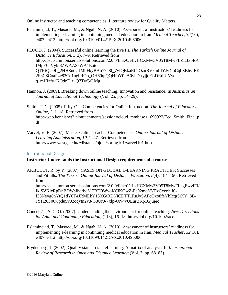Eslaminejad, T., Masood, M., & Ngah, N. A. (2010). Assessment of instructors' readiness for implementing e-learning in continuing medical education in Iran. *Medical Teacher*, *32*(10), e407–e412. http://doi.org/10.3109/0142159X.2010.496006

FLOOD, J. (2004). Successful online learning the five Ps. *The Turkish Online Journal of Distance Education*, *5*(2), 7–9. Retrieved from http://psu.summon.serialssolutions.com/2.0.0/link/0/eLvHCXMw3V05T8MwFLZKJxbEK U4pE0uVykl8ZWAASsWA1Eotc-QTKtQU9fj\_2HHSuoUJMbFkyBAn7728I\_7yfQBkaRfGOznBVkmljIYJy4mCqbSBhvIEK 2RsC8CoaP4e83Co1ugbROo\_OH60qjQQHfbY02A0yhD-tyjjoELDRdiUVvoq\_mHIzfy1KOdoE\_tuQ7Tvf5rLMg

Hannon, J. (2009). Breaking down online teaching: Innovation and resistance. In *Australasian Journal of Educational Technology* (Vol. 25, pp. 14–29).

Smith, T. C. (2005). Fifty-One Competencies for Online Instruction. *The Journal of Educators Online*, *2*, 1–18. Retrieved from http://web.kennisnet2.nl/attachments/session=cloud\_mmbase+1690923/Ted\_Smith\_Final.p df

Varvel, V. E. (2007). Master Online Teacher Competencies. *Online Journal of Distance Learning Administration*, *10*, 1–47. Retrieved from http://www.westga.edu/~distance/ojdla/spring101/varvel101.htm

#### <span id="page-22-0"></span>Instructional Design

#### **Instructor Understands the Instructional Design requirements of a course**

AKBULUT, R. by Y. (2007). CASES ON GLOBAL E-LEARNING PRACTICES: Successes and Pitfalls. *The Turkish Online Journal of Distance Education*, *8*(4), 184–190. Retrieved from http://psu.summon.serialssolutions.com/2.0.0/link/0/eLvHCXMw3V05T8MwFLagEwviFK fkiSVKlcRpDhBDWsIhqrbqMTBFOWyoKClKGwZ-Pc92mqYVEzCxeohjf0 f33Nevg8hYtQ1dY0T4JRMEkY13XGtRDNiCDTT1RuJySAFcOxo8feYbIcqr3iXY\_8B-JYH26F0O8pdu9v02oqvtn2v3-G3Ur0-7xlp-QN4vUEurBKp1Gjujec

- Conceição, S. C. O. (2007). Understanding the environment for online teaching. *New Directions for Adult and Continuing Education*, (113), 16–18. http://doi.org/10.1002/ace
- Eslaminejad, T., Masood, M., & Ngah, N. A. (2010). Assessment of instructors' readiness for implementing e-learning in continuing medical education in Iran. *Medical Teacher*, *32*(10), e407–e412. http://doi.org/10.3109/0142159X.2010.496006
- Frydenberg, J. (2002). Quality standards in eLearning: A matrix of analysis. In *International Review of Research in Open and Distance Learning* (Vol. 3, pp. 68–85).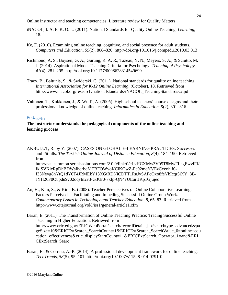- iNACOL, I. A. F. K. O. L. (2011). National Standards for Quality Online Teaching. *Learning*, 18.
- Ke, F. (2010). Examining online teaching, cognitive, and social presence for adult students. *Computers and Education*, *55*(2), 808–820. http://doi.org/10.1016/j.compedu.2010.03.013
- Richmond, A. S., Boysen, G. A., Gurung, R. A. R., Tazeau, Y. N., Meyers, S. A., & Sciutto, M. J. (2014). Aspirational Model Teaching Criteria for Psychology. *Teaching of Psychology*, *41*(4), 281–295. http://doi.org/10.1177/0098628314549699
- Tracy, B., Baltunis, S., & Swiderski, C. (2011). National standards for quality online teaching. *International Association for K-12 Online Learning*, (October), 18. Retrieved from http://www.inacol.org/research/nationalstandards/iNACOL\_TeachingStandardsv2.pdf
- Valtonen, T., Kukkonen, J., & Wulff, A. (2006). High school teachers' course designs and their professional knowledge of online teaching. *Informatics in Education*, *5*(2), 301–316.

#### <span id="page-23-0"></span>Pedagogy

## **The** i**nstructor understands the pedagogical components of the online teaching and learning process**

AKBULUT, R. by Y. (2007). CASES ON GLOBAL E-LEARNING PRACTICES: Successes and Pitfalls. *The Turkish Online Journal of Distance Education*, *8*(4), 184–190. Retrieved from http://psu.summon.serialssolutions.com/2.0.0/link/0/eLvHCXMw3V05T8MwFLagEwviFK fkiSVKlcRpDhBDWsIhqrbqMTBFOWyoKClKGwZ-Pc92mqYVEzCxeohjf0 f33Nevg8hYtQ1dY0T4JRMEkY13XGtRDNiCDTT1RuJySAFcOxo8feYbIcqr3iXY\_8B-JYH26F0O8pdu9v02oqvtn2v3-G3Ur0-7xlp-QN4vUEurBKp1Gjujec

An, H., Kim, S., & Kim, B. (2008). Teacher Perspectives on Online Collaborative Learning: Factors Perceived as Facilitating and Impeding Successful Online Group Work. *Contemporary Issues in Technology and Teacher Education*, *8*, 65–83. Retrieved from http://www.citejournal.org/vol8/iss1/general/article1.cfm

Baran, E. (2011). The Transformation of Online Teaching Practice: Tracing Successful Online Teaching in Higher Education. Retrieved from http://www.eric.ed.gov/ERICWebPortal/search/recordDetails.jsp?searchtype=advanced&pa geSize=10&ERICExtSearch\_SearchCount=1&ERICExtSearch\_SearchValue\_0=online+edu cation+effectiveness&eric\_displayStartCount=11&ERICExtSearch\_Operator\_1=and&ERI CExtSearch\_Searc

Baran, E., & Correia, A.-P. (2014). A professional development framework for online teaching. *TechTrends*, *58*(5), 95–101. http://doi.org/10.1007/s11528-014-0791-0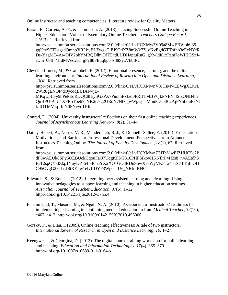Baran, E., Correia, A.-P., & Thompson, A. (2013). Tracing Successful Online Teaching in Higher Education: Voices of Exemplary Online Teachers. *Teachers College Record*, *115*(3), 1. Retrieved from http://psu.summon.serialssolutions.com/2.0.0/link/0/eLvHCXMw3V09a8MwEBVtpi6l39 gqUtxSCTLsgsdQmnp3iRLhyBLZwgkTjEJ9OdXZ8mWk7Z\_oKvEgdGTTnfnp3eEcNYfR Ds-YagMT4Ar4DIV2obYMRQDlhvDJTDtdLUDHaptuRnG\_gXwldK1zPam7oWIHGSnJrUm\_0blt\_4HdMVeo2aa\_gFy88FEuq6pp4s38SyzVhbfPC

Cleveland-Innes, M., & Campbell, P. (2012). Emotional presence, learning, and the online learning environment. *International Review of Research in Open and Distance Learning*, *13*(4). Retrieved from

http://psu.summon.serialssolutions.com/2.0.0/link/0/eLvHCXMwnV3JTsMwELWgXLiwL 2WR8gENOI4dOycoqBUfAFwjL-

MKqUpLSy98PePEqRDQC8fEySGxPX7PnnmPkJzd0PRHTMBV0jkPNFNl4SizONB4m QnHPUIAJU1XPRbToe67nYK2t7sg2URuN7Nh0\_wWgQTnMmdC3c3f02AjFY5bo6fGNt kJtDTMVJq-rhlY0FNvyo1KliI

Conrad, D. (2004). University instructors' reflections on their first online teaching experiences. *Journal of Asynchronous Learning Network*, *8*(2), 31–44.

Dailey-Hebert, A., Norris, V. R., Mandernach, B. J., & Donnelli-Sallee, E. (2014). Expectations, Motivations, and Barriers to Professional Development: Perspectives from Adjunct Instructors Teaching Online. *The Journal of Faculty Development*, *28*(1), 67. Retrieved from http://psu.summon.serialssolutions.com/2.0.0/link/0/eLvHCXMwnZ3JTsMwEIZHUC5c2P dF8wAEUk8SFy5QEBUckHqouFaO7UqgKilNT316PHFSIkovHKNIlrP4H3s8\_n4AEtdh8 EsT2spQYklZkp1Yuyl2ZEehSI0haYX2XO1GOdRDnSnwX7sWyVK5Ta45aX7TThIpOI1

C95OvgG2keLu18tRYhw1elvJIDYP3WpoTIUv\_NRfmKHC

- Edwards, S., & Bone, J. (2012). Integrating peer assisted learning and elearning: Using innovative pedagogies to support learning and teaching in higher education settings. *Australian Journal of Teacher Education*, *37*(5), 1–12. http://doi.org/10.14221/ajte.2012v37n5.4
- Eslaminejad, T., Masood, M., & Ngah, N. A. (2010). Assessment of instructors' readiness for implementing e-learning in continuing medical education in Iran. *Medical Teacher*, *32*(10), e407–e412. http://doi.org/10.3109/0142159X.2010.496006
- Gorsky, P., & Blau, I. (2009). Online teaching effectiveness: A tale of two instructors. *International Review of Research in Open and Distance Learning*, *10*, 1–27.
- Keengwe, J., & Georgina, D. (2012). The digital course training workshop for online learning and teaching. *Education and Information Technologies*, *17*(4), 365–379. http://doi.org/10.1007/s10639-011-9164-x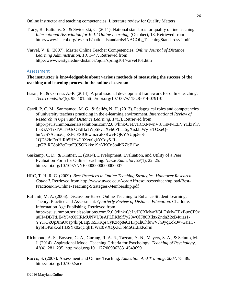- Tracy, B., Baltunis, S., & Swiderski, C. (2011). National standards for quality online teaching. *International Association for K-12 Online Learning*, (October), 18. Retrieved from http://www.inacol.org/research/nationalstandards/iNACOL\_TeachingStandardsv2.pdf
- Varvel, V. E. (2007). Master Online Teacher Competencies. *Online Journal of Distance Learning Administration*, *10*, 1–47. Retrieved from http://www.westga.edu/~distance/ojdla/spring101/varvel101.htm

#### <span id="page-25-0"></span>Assessment

#### **The instructor is knowledgeable about various methods of measuring the success of the teaching and learning process in the online classroom.**

Baran, E., & Correia, A.-P. (2014). A professional development framework for online teaching. *TechTrends*, *58*(5), 95–101. http://doi.org/10.1007/s11528-014-0791-0

Carril, P. C. M., Sanmamed, M. G., & Sellés, N. H. (2013). Pedagogical roles and competencies of university teachers practicing in the e-learning environment. *International Review of Research in Open and Distance Learning*, *14*(3). Retrieved from http://psu.summon.serialssolutions.com/2.0.0/link/0/eLvHCXMwnV3JTsMwELVYLlzYl7J I\_oGA7TixfWITFUcOFdfIa1WpSkvTXvh6PIlTISgXrskhiWy\_eTOZeQhnN2S7AcmxCjpXPCESlU6wmzcaFzRwvEQKYAUpp8eS-1QD32loFvtHiRb5HYzC0Xzu0gkYCoy5-R- \_pGBjRT8bk2eGttoF9JSOKkke19nYKCn3o4bKZbF1Iw

- Gaskamp, C. D., & Kintner, E. (2014). Development, Evaluation, and Utility of a Peer Evaluation Form for Online Teaching. *Nurse Educator*, *39*(1), 22–25. http://doi.org/10.1097/NNE.0000000000000007
- HRC, T. H. R. C. (2009). *Best Practices in Online Teaching Strategies*. *Hanaover Research Council*. Retrieved from http://www.uwec.edu/AcadAff/resources/edtech/upload/Best-Practices-in-Online-Teaching-Strategies-Membership.pdf

Raffanti, M. A. (2006). Discussion-Based Online Teaching to Enhance Student Learning: Theory, Practice and Assessment. *Quarterly Review of Distance Education*. Charlotte: Information Age Publishing. Retrieved from http://psu.summon.serialssolutions.com/2.0.0/link/0/eLvHCXMwnV3LTsMwEFxBucCF9x u0H4DBTtLE4YJ4tOKIRMUNVU3sAFLllKb9f7y20wOlF86RIktxZndnZ2cB4uias1- YYKOkUpXmQuap4lFpL1qSi65KKpsCyKxop8eCHKp1hQhfuwVJh9yqLok0v7GJiaClrybfDPaIkXd1rBSYx02qCqlH5Wzt0VXQXK3bM6GLEkKdrm

- Richmond, A. S., Boysen, G. A., Gurung, R. A. R., Tazeau, Y. N., Meyers, S. A., & Sciutto, M. J. (2014). Aspirational Model Teaching Criteria for Psychology. *Teaching of Psychology*, *41*(4), 281–295. http://doi.org/10.1177/0098628314549699
- Rocco, S. (2007). Assessment and Online Teaching. *Education And Training*, *2007*, 75–86. http://doi.org/10.1002/ace

26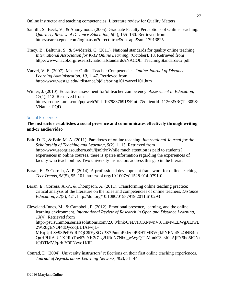- Santilli, S., Beck, V., & Anonymous. (2005). Graduate Faculty Perceptions of Online Teaching. *Quarterly Review of Distance Education*, *6*(2), 155–160. Retrieved from http://search.epnet.com/login.aspx?direct=true&db=aph&an=17913825
- Tracy, B., Baltunis, S., & Swiderski, C. (2011). National standards for quality online teaching. *International Association for K-12 Online Learning*, (October), 18. Retrieved from http://www.inacol.org/research/nationalstandards/iNACOL\_TeachingStandardsv2.pdf
- Varvel, V. E. (2007). Master Online Teacher Competencies. *Online Journal of Distance Learning Administration*, *10*, 1–47. Retrieved from http://www.westga.edu/~distance/ojdla/spring101/varvel101.htm

Winter, J. (2010). Educative assessment for/of teacher competency. *Assessment in Education*, *17*(1), 112. Retrieved from http://proquest.umi.com/pqdweb?did=1979837691&Fmt=7&clientId=11263&RQT=309& VName=PQD

#### <span id="page-26-0"></span>Social Presence

## **The instructor establishes a social presence and communicates effectively through writing and/or audio/video**

Bair, D. E., & Bair, M. A. (2011). Paradoxes of online teaching. *International Journal for the Scholarship of Teaching and Learning*, *5*(2), 1–15. Retrieved from http://www.georgiasouthern.edu/ijsoltl\nWhile much attention is paid to students? experiences in online courses, there is sparse information regarding the experiences of faculty who teach online. Two university instructors address this gap in the literatu

- Baran, E., & Correia, A.-P. (2014). A professional development framework for online teaching. *TechTrends*, *58*(5), 95–101. http://doi.org/10.1007/s11528-014-0791-0
- Baran, E., Correia, A.-P., & Thompson, A. (2011). Transforming online teaching practice: critical analysis of the literature on the roles and competencies of online teachers. *Distance Education*, *32*(3), 421. http://doi.org/10.1080/01587919.2011.610293
- Cleveland-Innes, M., & Campbell, P. (2012). Emotional presence, learning, and the online learning environment. *International Review of Research in Open and Distance Learning*, *13*(4). Retrieved from http://psu.summon.serialssolutions.com/2.0.0/link/0/eLvHCXMwnV3JTsMwELWgXLiwL 2WR8gENOI4dOycoqBUfAFwjL-MKqUpLSy98PePEqRDQC8fEySGxPX7PnnmPkJzd0PRHTMBV0jkPNFNl4SizONB4m QnHPUIAJU1XPRbToe67nYK2t7sg2URuN7Nh0\_wWgQTnMmdC3c3f02AjFY5bo6fGNt kJtDTMVJq-rhlY0FNvyo1KliI
- Conrad, D. (2004). University instructors' reflections on their first online teaching experiences. *Journal of Asynchronous Learning Network*, *8*(2), 31–44.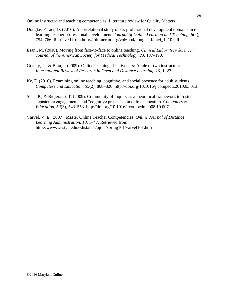- Douglas-Faraci, D. (2010). A correlational study of six professional development domains in elearning teacher professional development. *Journal of Online Learning and Teaching*, *6*(4), 754–766. Retrieved from http://jolt.merlot.org/vol6no4/douglas-faraci\_1210.pdf
- Esani, M. (2010). Moving from face-to-face to online teaching. *Clinical Laboratory Science : Journal of the American Society for Medical Technology*, *23*, 187–190.
- Gorsky, P., & Blau, I. (2009). Online teaching effectiveness: A tale of two instructors. *International Review of Research in Open and Distance Learning*, *10*, 1–27.
- Ke, F. (2010). Examining online teaching, cognitive, and social presence for adult students. *Computers and Education*, *55*(2), 808–820. http://doi.org/10.1016/j.compedu.2010.03.013
- Shea, P., & Bidjerano, T. (2009). Community of inquiry as a theoretical framework to foster "epistemic engagement" and "cognitive presence" in online education. *Computers & Education*, *52*(3), 543–553. http://doi.org/10.1016/j.compedu.2008.10.007
- Varvel, V. E. (2007). Master Online Teacher Competencies. *Online Journal of Distance Learning Administration*, *10*, 1–47. Retrieved from http://www.westga.edu/~distance/ojdla/spring101/varvel101.htm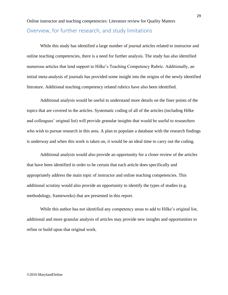<span id="page-28-0"></span>Online instructor and teaching competencies: Literature review for Quality Matters Overview, for further research, and study limitations

While this study has identified a large number of journal articles related to instructor and online teaching competencies, there is a need for further analysis. The study has also identified numerous articles that lend support to Hilke's Teaching Competency Rubric. Additionally, an initial meta-analysis of journals has provided some insight into the origins of the newly identified literature. Additional teaching competency related rubrics have also been identified.

Additional analysis would be useful to understand more details on the finer points of the topics that are covered in the articles. Systematic coding of all of the articles (including Hilke and colleagues' original list) will provide granular insights that would be useful to researchers who wish to pursue research in this area. A plan to populate a database with the research findings is underway and when this work is taken on, it would be an ideal time to carry out the coding.

Additional analysis would also provide an opportunity for a closer review of the articles that have been identified in order to be certain that each article does specifically and appropriately address the main topic of instructor and online teaching competencies. This additional scrutiny would also provide an opportunity to identify the types of studies (e.g. methodology, frameworks) that are presented in this report.

While this author has not identified any competency areas to add to Hilke's original list, additional and more granular analysis of articles may provide new insights and opportunities to refine or build upon that original work.

#### ©2016 MarylandOnline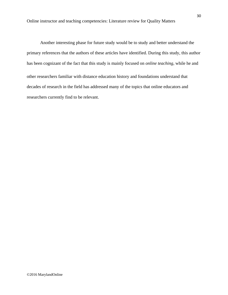Another interesting phase for future study would be to study and better understand the primary references that the authors of these articles have identified. During this study, this author has been cognizant of the fact that this study is mainly focused on *online teaching*, while he and other researchers familiar with distance education history and foundations understand that decades of research in the field has addressed many of the topics that online educators and researchers currently find to be relevant.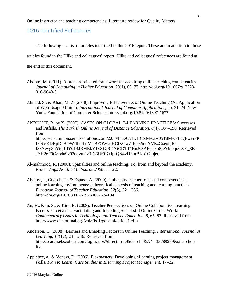# <span id="page-30-0"></span>2016 Identified References

The following is a list of articles identified in this 2016 report. These are in addition to those

articles found in the Hilke and colleagues' report. Hilke and colleagues' references are found at

the end of this document.

- Abdous, M. (2011). A process-oriented framework for acquiring online teaching competencies. *Journal of Computing in Higher Education*, *23*(1), 60–77. http://doi.org/10.1007/s12528- 010-9040-5
- Ahmad, S., & Khan, M. Z. (2010). Improving Effectiveness of Online Teaching (An Application of Web Usage Mining). *International Journal of Computer Applications*, pp. 21–24. New York: Foundation of Computer Science. http://doi.org/10.5120/1307-1677
- AKBULUT, R. by Y. (2007). CASES ON GLOBAL E-LEARNING PRACTICES: Successes and Pitfalls. *The Turkish Online Journal of Distance Education*, *8*(4), 184–190. Retrieved from http://psu.summon.serialssolutions.com/2.0.0/link/0/eLvHCXMw3V05T8MwFLagEwviFK fkiSVKlcRpDhBDWsIhqrbqMTBFOWyoKClKGwZ-Pc92mqYVEzCxeohjf0 f33Nevg8hYtQ1dY0T4JRMEkY13XGtRDNiCDTT1RuJySAFcOxo8feYbIcqr3iXY\_8B-JYH26F0O8pdu9v02oqvtn2v3-G3Ur0-7xlp-QN4vUEurBKp1Gjujec
- Al-mahmood, R. (2008). Spatialities and online teaching: To, from and beyond the academy. *Proceedings Ascilite Melbourne 2008*, 11–22.
- Alvarez, I., Guasch, T., & Espasa, A. (2009). University teacher roles and competencies in online learning environments: a theoretical analysis of teaching and learning practices. *European Journal of Teacher Education*, *32*(3), 321–336. http://doi.org/10.1080/02619760802624104
- An, H., Kim, S., & Kim, B. (2008). Teacher Perspectives on Online Collaborative Learning: Factors Perceived as Facilitating and Impeding Successful Online Group Work. *Contemporary Issues in Technology and Teacher Education*, *8*, 65–83. Retrieved from http://www.citejournal.org/vol8/iss1/general/article1.cfm
- Anderson, C. (2008). Barriers and Enabling Factors in Online Teaching. *International Journal of Learning*, *14*(12), 241–246. Retrieved from http://search.ebscohost.com/login.aspx?direct=true&db=ehh&AN=35789259&site=ehostlive
- Applebee, a., & Veness, D. (2006). Flexmasters: Developing eLearning project management skills. *Plan to Learn: Case Studies in Elearning Project Management*, 17–22.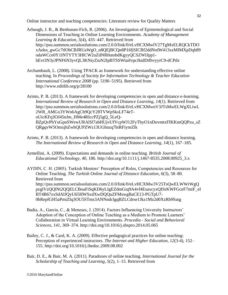Arbaugh, J. B., & Benbunan-Fich, R. (2006). An Investigation of Epistemological and Social Dimensions of Teaching in Online Learning Environments. *Academy of Management Learning & Education*, *5*(4), 435–447. Retrieved from http://psu.summon.serialssolutions.com/2.0.0/link/0/eLvHCXMwlV27TgMxELRQCkTDO xAekn\_gwGc7tlOhCBJRUaWgO\_n8QEjBCQn8P16fjSICBf2ddNrdW413xzMIMXpDqh89 odaWCce0Y1INTYTY3HlCW2uZdNR0utobdKgyyQCSZWIJpp1 hEvt3N3yJPNF6N3yvQL3KNiyZiuN2IpBTSSWtaifvpcJkidDtfhvyyrC9-dCPdx

Archambault, L. (2008). Using TPACK as framework for understanding effective online teaching. In *Proceedings of Society for Information Technology & Teacher Education International Conference 2008* (pp. 5190–5195). Retrieved from http://www.editlib.org/p/28100

Arinto, P. B. (2013). A framework for developing competencies in open and distance e-learning. *International Review of Research in Open and Distance Learning*, *14*(1). Retrieved from http://psu.summon.serialssolutions.com/2.0.0/link/0/eLvHCXMwnV3JTsMwELWgXLiwL 2WR\_AMGx3YWn6AgCh9QcY28TVWpSksLF74eToUicKFq3OJ45nJm\_HMe4RIccPZj5gQ\_5LeQ-BZpQvPhYuGpnSWewURAlSl7abHUjvUfVcpWJ12FyTbyO1nDovmtxFIKKmQQPxu\_sZ QRgqvW5OmxjbZwbQUPZWz13UGhnzq7biRFiymZlk

- Arinto, P. B. (2013). A framework for developing competencies in open and distance learning. *The International Review of Research in Open and Distance Learning*, *14*(1), 167–185.
- Armellini, A. (2009). Expectations and demands in online teaching. *British Journal of Educational Technology*, *40*, 186. http://doi.org/10.1111/j.1467-8535.2008.00925\_3.x

AYDIN, C. H. (2005). Turkish Mentors' Perception of Roles, Competencies and Resources for Online Teaching. *The Turkish Online Journal of Distance Education*, *6*(3), 58–80. Retrieved from http://psu.summon.serialssolutions.com/2.0.0/link/0/eLvHCXMw3V25TsQwELWWrWgQ pzglVzQQlNt2QQELCBoaFiSqKD6yLIgEZdmGiq9A4vf4EsaxcyxQISrKWFGceF7miF\_eI BT4B67zxSdAlJQyU65HWSxdXwDQQuZFMswgBaCE13-PGTpU7- 0bRepfGH5aPmiZIq3OU5STms3ANNndclgqBZLCdrse1Jkz1Mz2d0XzRb9Satg

- Badia, A., Garcia, C., & Meneses, J. (2014). Factors Influencing University Instructors' Adoption of the Conception of Online Teaching as a Medium to Promote Learners' Collaboration in Virtual Learning Environments. *Procedia - Social and Behavioral Sciences*, *141*, 369–374. http://doi.org/10.1016/j.sbspro.2014.05.065
- Bailey, C. J., & Card, K. A. (2009). Effective pedagogical practices for online teaching: Perception of experienced instructors. *The Internet and Higher Education*, *12*(3-4), 152– 155. http://doi.org/10.1016/j.iheduc.2009.08.002
- Bair, D. E., & Bair, M. A. (2011). Paradoxes of online teaching. *International Journal for the Scholarship of Teaching and Learning*, *5*(2), 1–15. Retrieved from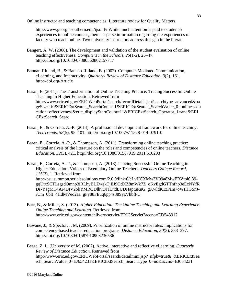http://www.georgiasouthern.edu/ijsoltl\nWhile much attention is paid to students? experiences in online courses, there is sparse information regarding the experiences of faculty who teach online. Two university instructors address this gap in the literatu

- Bangert, A. W. (2008). The development and validation of the student evaluation of online teaching effectiveness. *Computers in the Schools*, *25*(1-2), 25–47. http://doi.org/10.1080/07380560802157717
- Bannan-Ritland, B., & Bannan-Ritland, B. (2002). Computer-Mediated Communication, eLearning, and Interactivity. *Quarterly Review of Distance Education*, *3*(2), 161. http://doi.org/Article

Baran, E. (2011). The Transformation of Online Teaching Practice: Tracing Successful Online Teaching in Higher Education. Retrieved from http://www.eric.ed.gov/ERICWebPortal/search/recordDetails.jsp?searchtype=advanced&pa geSize=10&ERICExtSearch\_SearchCount=1&ERICExtSearch\_SearchValue\_0=online+edu cation+effectiveness&eric\_displayStartCount=11&ERICExtSearch\_Operator\_1=and&ERI CExtSearch\_Searc

- Baran, E., & Correia, A.-P. (2014). A professional development framework for online teaching. *TechTrends*, *58*(5), 95–101. http://doi.org/10.1007/s11528-014-0791-0
- Baran, E., Correia, A.-P., & Thompson, A. (2011). Transforming online teaching practice: critical analysis of the literature on the roles and competencies of online teachers. *Distance Education*, *32*(3), 421. http://doi.org/10.1080/01587919.2011.610293

Baran, E., Correia, A.-P., & Thompson, A. (2013). Tracing Successful Online Teaching in Higher Education: Voices of Exemplary Online Teachers. *Teachers College Record*, *115*(3), 1. Retrieved from http://psu.summon.serialssolutions.com/2.0.0/link/0/eLvHCXMw3V09a8MwEBVtpi6l39 gqUtxSCTLsgsdQmnp3iRLhyBLZwgkTjEJ9OdXZ8mWk7Z\_oKvEgdGTTnfnp3eEcNYfR Ds-YagMT4Ar4DIV2obYMRQDlhvDJTDtdLUDHaptuRnG\_gXwldK1zPam7oWIHGSnJrUm\_0blt\_4HdMVeo2aa\_gFy88FEuq6pp4s38SyzVhbfPC

- Barr, B., & Miller, S. (2013). *Higher Education: The Online Teaching and Learning Experience*. *Online Teaching and Learning*. Retrieved from http://www.eric.ed.gov/contentdelivery/servlet/ERICServlet?accno=ED543912
- Bawane, J., & Spector, J. M. (2009). Prioritization of online instructor roles: implications for competency-based teacher education programs. *Distance Education*, *30*(3), 383–397. http://doi.org/10.1080/01587910903236536
- Berge, Z. L. (University of M. (2002). Active, interactive and reflective eLearning. *Quarterly Review of Distance Education*. Retrieved from http://www.eric.ed.gov/ERICWebPortal/search/detailmini.jsp?\_nfpb=true&\_&ERICExtSea rch\_SearchValue\_0=EJ654231&ERICExtSearch\_SearchType\_0=no&accno=EJ654231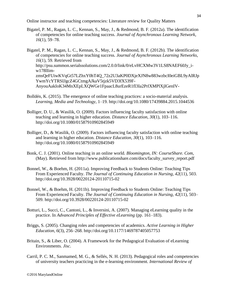- Bigatel, P. M., Ragan, L. C., Kennan, S., May, J., & Redmond, B. F. (2012a). The identification of competencies for online teaching success. *Journal of Asynchronous Learning Network*, *16*(1), 59–78.
- Bigatel, P. M., Ragan, L. C., Kennan, S., May, J., & Redmond, B. F. (2012b). The identification of competencies for online teaching success. *Journal of Asynchronous Learning Networks*, *16*(1), 59. Retrieved from http://psu.summon.serialssolutions.com/2.0.0/link/0/eLvHCXMw3V1LS8NAEF60Jy\_iw178lIimzmsQeFUiwKVqGt57LZhxY0hT4Q\_72z2U3aKP0DXjeXJN8w883wzbcI0eiGBL9yAlRJp YwmYcYTRSIJgcZ4GCtmgAJkaV5tjzk5VD3fX539F-AnyouAakIoK34MnXEpLXQWGe1FpaacL8urEzeR1fl3Ia2PrlXMPlXjlGenIV-
- Bolldén, K. (2015). The emergence of online teaching practices: a socio-material analysis. *Learning, Media and Technology*, 1–19. http://doi.org/10.1080/17439884.2015.1044536
- Bolliger, D. U., & Wasilik, O. (2009). Factors influencing faculty satisfaction with online teaching and learning in higher education. *Distance Education*, *30*(1), 103–116. http://doi.org/10.1080/01587910902845949
- Bolliger, D., & Wasilik, O. (2009). Factors influencing faculty satisfaction with online teaching and learning in higher education. *Distance Education*, *30*(1), 103–116. http://doi.org/10.1080/01587910902845949
- Bonk, C. J. (2001). Online teaching in an online world. *Bloomington, IN: CourseShare. Com*, (May). Retrieved from http://www.publicationshare.com/docs/faculty\_survey\_report.pdf
- Bonnel, W., & Boehm, H. (2011a). Improving Feedback to Students Online: Teaching Tips From Experienced Faculty. *The Journal of Continuing Education in Nursing*, *42*(11), 503. http://doi.org/10.3928/00220124-20110715-02
- Bonnel, W., & Boehm, H. (2011b). Improving Feedback to Students Online: Teaching Tips From Experienced Faculty. *The Journal of Continuing Education in Nursing*, *42*(11), 503– 509. http://doi.org/10.3928/00220124-20110715-02
- Botturi, L., Succi, C., Cantoni, L., & Inversini, A. (2007). Managing eLearning quality in the practice. In *Advanced Principles of Effective eLearning* (pp. 161–183).
- Briggs, S. (2005). Changing roles and competencies of academics. *Active Learning in Higher Education*, *6*(3), 256–268. http://doi.org/10.1177/1469787405057753
- Britain, S., & Liber, O. (2004). A Framework for the Pedagogical Evaluation of eLearning Environments. *Jisc*.
- Carril, P. C. M., Sanmamed, M. G., & Sellés, N. H. (2013). Pedagogical roles and competencies of university teachers practicing in the e-learning environment. *International Review of*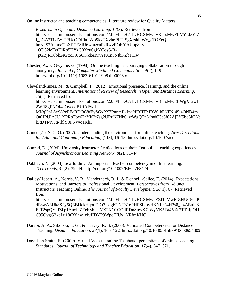*Research in Open and Distance Learning*, *14*(3). Retrieved from http://psu.summon.serialssolutions.com/2.0.0/link/0/eLvHCXMwnV3JTsMwELVYLlzYl7J I\_oGA7TixfWITFUcOFdfIa1WpSkvTXvh6PIlTISgXrskhiWy\_eTOZeQhnN2S7AcmxCjpXPCESlU6wmzcaFzRwvEQKYAUpp8eS-1QD32loFvtHiRb5HYzC0Xzu0gkYCoy5-R- \_pGBjRT8bk2eGttoF9JSOKkke19nYKCn3o4bKZbF1Iw

Chester, A., & Gwynne, G. (1998). Online teaching: Encouraging collaboration through anonymity. *Journal of Computer-Mediated Communication*, *4*(2), 1–9. http://doi.org/10.1111/j.1083-6101.1998.tb00096.x

Cleveland-Innes, M., & Campbell, P. (2012). Emotional presence, learning, and the online learning environment. *International Review of Research in Open and Distance Learning*, *13*(4). Retrieved from http://psu.summon.serialssolutions.com/2.0.0/link/0/eLvHCXMwnV3JTsMwELWgXLiwL 2WR8gENOI4dOycoqBUfAFwjL-MKqUpLSy98PePEqRDQC8fEySGxPX7PnnmPkJzd0PRHTMBV0jkPNFNl4SizONB4m QnHPUIAJU1XPRbToe67nYK2t7sg2URuN7Nh0\_wWgQTnMmdC3c3f02AjFY5bo6fGNt kJtDTMVJq-rhlY0FNvyo1KliI

- Conceição, S. C. O. (2007). Understanding the environment for online teaching. *New Directions for Adult and Continuing Education*, (113), 16–18. http://doi.org/10.1002/ace
- Conrad, D. (2004). University instructors' reflections on their first online teaching experiences. *Journal of Asynchronous Learning Network*, *8*(2), 31–44.
- Dabbagh, N. (2003). Scaffolding: An important teacher competency in online learning. *TechTrends*, *47*(2), 39–44. http://doi.org/10.1007/BF02763424

Dailey-Hebert, A., Norris, V. R., Mandernach, B. J., & Donnelli-Sallee, E. (2014). Expectations, Motivations, and Barriers to Professional Development: Perspectives from Adjunct Instructors Teaching Online. *The Journal of Faculty Development*, *28*(1), 67. Retrieved from http://psu.summon.serialssolutions.com/2.0.0/link/0/eLvHCXMwnZ3JTsMwEIZHUC5c2P

dF8wAEUk8SFy5QEBUckHqouFaO7UqgKilNT316PHFSIkovHKNIlrP4H3s8\_n4AEtdh8 EsT2spQYklZkp1Yuyl2ZEehSI0haYX2XO1GOdRDnSnwX7sWyVK5Ta45aX7TThIpOI1 C95OvgG2keLu18tRYhw1elvJIDYP3WpoTIUv\_NRfmKHC

- Darabi, A. A., Sikorski, E. G., & Harvey, R. B. (2006). Validated Competencies for Distance Teaching. *Distance Education*, *27*(1), 105–122. http://doi.org/10.1080/01587910600654809
- Davidson Smith, R. (2009). Virtual Voices : online Teachers ' perceptions of online Teaching Standards. *Journal of Technology and Teacher Education*, *17*(4), 547–571.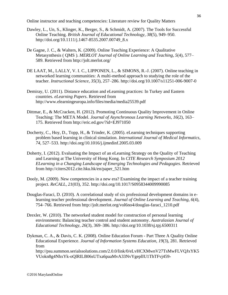- Dawley, L., Un, S., Klinger, K., Berger, S., & Schmidt, A. (2007). The Tools for Successful Online Teaching. *British Journal of Educational Technology*, *38*(5), 949–950. http://doi.org/10.1111/j.1467-8535.2007.00749\_8.x
- De Gagne, J. C., & Walters, K. (2009). Online Teaching Experience: A Qualitative Metasynthesis ( QMS ). *MERLOT Journal of Online Learning and Teaching*, *5*(4), 577– 589. Retrieved from http://jolt.merlot.org/
- DE LAAT, M., LALLY, V. I. C., LIPPONEN, L., & SIMONS, R.-J. (2007). Online teaching in networked learning communities: A multi-method approach to studying the role of the teacher. *Instructional Science*, *35*(3), 257–286. http://doi.org/10.1007/s11251-006-9007-0
- Demiray, U. (2011). Distance education and eLearning practices: In Turkey and Eastern countries. *eLearning Papers*. Retrieved from http://www.elearningeuropa.info/files/media/media25539.pdf
- Dittmar, E., & McCracken, H. (2012). Promoting Continuous Quality Improvement in Online Teaching: The META Model. *Journal of Asynchronous Learning Networks*, *16*(2), 163– 175. Retrieved from http://eric.ed.gov/?id=EJ971050
- Docherty, C., Hoy, D., Topp, H., & Trinder, K. (2005). eLearning techniques supporting problem based learning in clinical simulation. *International Journal of Medical Informatics*, *74*, 527–533. http://doi.org/10.1016/j.ijmedinf.2005.03.009
- Doherty, I. (2012). Evaluating the Impact of an eLearning Strategy on the Quality of Teaching and Learning at The University of Hong Kong. In *CITE Research Symposium 2012 ELearning in a Changing Landscape of Emerging Technologies and Pedagogies*. Retrieved from http://citers2012.cite.hku.hk/en/paper\_521.htm
- Dooly, M. (2009). New competencies in a new era? Examining the impact of a teacher training project. *ReCALL*, *21*(03), 352. http://doi.org/10.1017/S0958344009990085
- Douglas-Faraci, D. (2010). A correlational study of six professional development domains in elearning teacher professional development. *Journal of Online Learning and Teaching*, *6*(4), 754–766. Retrieved from http://jolt.merlot.org/vol6no4/douglas-faraci\_1210.pdf
- Drexler, W. (2010). The networked student model for construction of personal learning environments: Balancing teacher control and student autonomy. *Australasian Journal of Educational Technology*, *26*(3), 369–386. http://doi.org/10.1038/sj.tpj.6500311
- Dykman, C. A., & Davis, C. K. (2008). Online Education Forum Part Three A Quality Online Educational Experience. *Journal of Information Systems Education*, *19*(3), 281. Retrieved from

http://psu.summon.serialssolutions.com/2.0.0/link/0/eLvHCXMwnV27TsMwFLVQJxYK5 VUokn8g4NhxYk-oQlRILB06sUTxa6paaMvA33NvYgeplIU1ThTFvj459-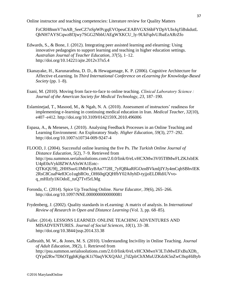FzCRH8nmV7mAB\_SeeCZ7nSpWPcgqEVOpeuCEABVGXS6bFYDpVUIeJqJ5BskdutL QbNH7AYSCqwz8f3jwy7SGG2NbbUAEgWXKCU\_ly-9UkFqdvUJbaEzARrZfo

- Edwards, S., & Bone, J. (2012). Integrating peer assisted learning and elearning: Using innovative pedagogies to support learning and teaching in higher education settings. *Australian Journal of Teacher Education*, *37*(5), 1–12. http://doi.org/10.14221/ajte.2012v37n5.4
- Ekanayake, H., Karunarathna, D. D., & Hewagamage, K. P. (2006). Cognitive Architecture for Affective eLearning. In *Third International Conference on eLearning for Knowledge-Based Society* (pp. 1–8).
- Esani, M. (2010). Moving from face-to-face to online teaching. *Clinical Laboratory Science : Journal of the American Society for Medical Technology*, *23*, 187–190.
- Eslaminejad, T., Masood, M., & Ngah, N. A. (2010). Assessment of instructors' readiness for implementing e-learning in continuing medical education in Iran. *Medical Teacher*, *32*(10), e407–e412. http://doi.org/10.3109/0142159X.2010.496006
- Espasa, A., & Meneses, J. (2010). Analysing Feedback Processes in an Online Teaching and Learning Environment: An Exploratory Study. *Higher Education*, *59*(3), 277–292. http://doi.org/10.1007/s10734-009-9247-4

FLOOD, J. (2004). Successful online learning the five Ps. *The Turkish Online Journal of Distance Education*, *5*(2), 7–9. Retrieved from http://psu.summon.serialssolutions.com/2.0.0/link/0/eLvHCXMw3V05T8MwFLZKJxbEK U4pE0uVykl8ZWAASsWA1Eotc-QTKtQU9fj\_2HHSuoUJMbFkyBAn7728I\_7yfQBkaRfGOznBVkmljIYJy4mCqbSBhvIEK 2RsC8CoaP4e83Co1ugbROo\_OH60qjQQHfbY02A0yhD-tyjjoELDRdiUVvoq\_mHIzfy1KOdoE\_tuQ7Tvf5rLMg

- Foronda, C. (2014). Spice Up Teaching Online. *Nurse Educator*, *39*(6), 265–266. http://doi.org/10.1097/NNE.0000000000000081
- Frydenberg, J. (2002). Quality standards in eLearning: A matrix of analysis. In *International Review of Research in Open and Distance Learning* (Vol. 3, pp. 68–85).
- Fuller. (2014). LESSONS LEARNED: ONLINE TEACHING ADVENTURES AND MISADVENTURES. *Journal of Social Sciences*, *10*(1), 33–38. http://doi.org/10.3844/jssp.2014.33.38
- Galbraith, M. W., & Jones, M. S. (2010). Understanding Incivility in Online Teaching. *Journal of Adult Education*, *39*(2), 1. Retrieved from http://psu.summon.serialssolutions.com/2.0.0/link/0/eLvHCXMwnV3LTsMwEFxBuXDh\_ QYpd2Rw7DhOTgghKj6gcK1i70aqVKXQAhJ\_j7d2pIrChXMuUZKdzK5nZwC0upHiByb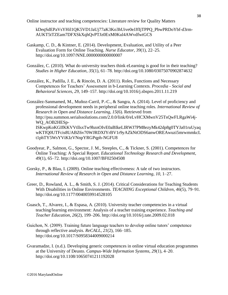kDeqSdEPaVsYHil1QK5VD1JaUj77aK3Ko3hUive0eJJfIjTPPQ\_PbwPRDoYbf-d3rm-AUKT5tTZEam7DFXSkXqhQvPTJz0ExM0Kul4AWvdfwtGCS

- Gaskamp, C. D., & Kintner, E. (2014). Development, Evaluation, and Utility of a Peer Evaluation Form for Online Teaching. *Nurse Educator*, *39*(1), 22–25. http://doi.org/10.1097/NNE.0000000000000007
- González, C. (2010). What do university teachers think eLearning is good for in their teaching? *Studies in Higher Education*, *35*(1), 61–78. http://doi.org/10.1080/03075070902874632
- González, K., Padilla, J. E., & Rincón, D. A. (2011). Roles, Functions and Necessary Competences for Teachers' Assessment in b-Learning Contexts. *Procedia - Social and Behavioral Sciences*, *29*, 149–157. http://doi.org/10.1016/j.sbspro.2011.11.219

González-Sanmamed, M., Muñoz-Carril, P.-C., & Sangra, A. (2014). Level of proficiency and professional development needs in peripheral online teaching roles. *International Review of Research in Open and Distance Learning*, *15*(6). Retrieved from http://psu.summon.serialssolutions.com/2.0.0/link/0/eLvHCXMwnV25TsQwFLRgaWi4j-WQ\_AOB2HESp-ISKwpKoKGIfKKVVtllsxTw9bznOIvE0aBIkeLIRWJ7PM8ezyMk42dp8g0TYJa01ruUyaq wKTfQ0UTFcis8UABZ6v70WJRDXfYrBV1r9yAZkNtODS6anwOREAwuzi5mrwmmkcL t1phTY5WsYViKIzVNnpYRGPqph-NGFU8

- Goodyear, P., Salmon, G., Spector, J. M., Steeples, C., & Tickner, S. (2001). Competences for Online Teaching: A Special Report. *Educational Technology Research and Development*, *49*(1), 65–72. http://doi.org/10.1007/BF02504508
- Gorsky, P., & Blau, I. (2009). Online teaching effectiveness: A tale of two instructors. *International Review of Research in Open and Distance Learning*, *10*, 1–27.
- Greer, D., Rowland, A. L., & Smith, S. J. (2014). Critical Considerations for Teaching Students With Disabilities in Online Environments. *TEACHING Exceptional Children*, *46*(5), 79–91. http://doi.org/10.1177/0040059914528105
- Guasch, T., Alvarez, I., & Espasa, A. (2010). University teacher competencies in a virtual teaching/learning environment: Analysis of a teacher training experience. *Teaching and Teacher Education*, *26*(2), 199–206. http://doi.org/10.1016/j.tate.2009.02.018
- Guichon, N. (2009). Training future language teachers to develop online tutors' competence through reflective analysis. *ReCALL*, *21*(2), 166–185. http://doi.org/10.1017/S0958344009000214
- Gvaramadze, I. (n.d.). Developing generic competences in online virtual education programmes at the University of Deusto. *Campus-Wide Information Systems*, *29*(1), 4–20. http://doi.org/10.1108/10650741211192028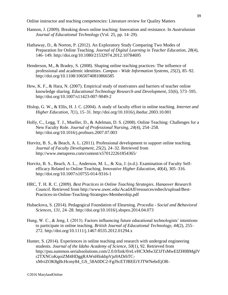- Hannon, J. (2009). Breaking down online teaching: Innovation and resistance. In *Australasian Journal of Educational Technology* (Vol. 25, pp. 14–29).
- Hathaway, D., & Norton, P. (2012). An Exploratory Study Comparing Two Modes of Preparation for Online Teaching. *Journal of Digital Learning in Teacher Education*, *28*(4), 146–149. http://doi.org/10.1080/21532974.2012.10784695
- Henderson, M., & Bradey, S. (2008). Shaping online teaching practices: The influence of professional and academic identities. *Campus - Wide Information Systems*, *25*(2), 85–92. http://doi.org/10.1108/10650740810866585
- Hew, K. F., & Hara, N. (2007). Empirical study of motivators and barriers of teacher online knowledge sharing. *Educational Technology Research and Development*, *55*(6), 573–595. http://doi.org/10.1007/s11423-007-9049-2
- Hislop, G. W., & Ellis, H. J. C. (2004). A study of faculty effort in online teaching. *Internet and Higher Education*, *7*(1), 15–31. http://doi.org/10.1016/j.iheduc.2003.10.001
- Holly, C., Legg, T. J., Mueller, D., & Adelman, D. S. (2008). Online Teaching: Challenges for a New Faculty Role. *Journal of Professional Nursing*, *24*(4), 254–258. http://doi.org/10.1016/j.profnurs.2007.07.003
- Horvitz, B. S., & Beach, A. L. (2011). Professional development to support online teaching. *Journal of Faculty Development*, *25*(2), 24–32. Retrieved from http://www.metapress.com/content/x570122261854365/
- Horvitz, B. S., Beach, A. L., Anderson, M. L., & Xia, J. (n.d.). Examination of Faculty Selfefficacy Related to Online Teaching. *Innovative Higher Education*, *40*(4), 305–316. http://doi.org/10.1007/s10755-014-9316-1
- HRC, T. H. R. C. (2009). *Best Practices in Online Teaching Strategies*. *Hanaover Research Council*. Retrieved from http://www.uwec.edu/AcadAff/resources/edtech/upload/Best-Practices-in-Online-Teaching-Strategies-Membership.pdf
- Hubackova, S. (2014). Pedagogical Foundation of Elearning. *Procedia - Social and Behavioral Sciences*, *131*, 24–28. http://doi.org/10.1016/j.sbspro.2014.04.073
- Hung, W. C., & Jeng, I. (2013). Factors influencing future educational technologists' intentions to participate in online teaching. *British Journal of Educational Technology*, *44*(2), 255– 272. http://doi.org/10.1111/j.1467-8535.2012.01294.x
- Hunter, S. (2014). Experiences in online teaching and research with undergrad engineering students. *Journal of the Idaho Academy of Science*, *50*(1), 92. Retrieved from http://psu.summon.serialssolutions.com/2.0.0/link/0/eLvHCXMw3Z3JTsMwEIZH0BMgIV r2TXNCoKqoiZM4HDggRAWnHlokbpVju9ADrhTCxMviZOK8gBcHcmy84\_GS\_58A0DC2-FgJScETJBEEiYJTWNebrEjOR-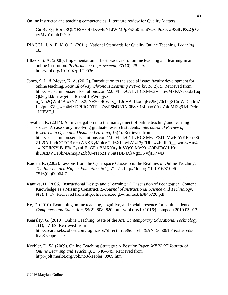GmRCEypBbrra3Q9XF3HzbfxDew4uN1dWiMPpF5Zo0fnJnt7O3sPo3svw9Z6IvPZzQcGc rztMvu1djuhTsY-k

- iNACOL, I. A. F. K. O. L. (2011). National Standards for Quality Online Teaching. *Learning*, 18.
- Irlbeck, S. A. (2008). Implementation of best practices for online teaching and learning in an online institution. *Performance Improvement*, *47*(10), 25–29. http://doi.org/10.1002/pfi.20036
- Jones, S. J., & Meyer, K. A. (2012). Introduction to the special issue: faculty development for online teaching. *Journal of Asynchronous Learning Networks*, *16*(2), 5. Retrieved from http://psu.summon.serialssolutions.com/2.0.0/link/0/eLvHCXMw3V1JSwMxFA7akxdx16q Qk5cykkkmswgeilisuICt55LJIgWdQjseu\_Nm2QWhf4BrxkYZt4X3pYv30OI0WsS\_PEJoVAs1kxolqRc2hQ70obQXCmWaCqdrnZ Lh2pmc7Zr\_wH4MXDPlROFrTPLlZsyP6isDE0AI0ByY13fmaoYAUA4dMIZg9JzLDelrqt 1IUFVF\_i
- Jowallah, R. (2014). An investigation into the management of online teaching and learning spaces: A case study involving graduate research students. *International Review of Research in Open and Distance Learning*, *15*(4). Retrieved from http://psu.summon.serialssolutions.com/2.0.0/link/0/eLvHCXMwnZ3JTsMwEIYtKBcu7Et ZJL9AIImdOOECBVHxABXXyMukVCpJ6XLhwLMzk7gFUbhwzKJIlu0\_\_0wm3zAm4q sw-KEJkXYiBaFBqCyxaLEllGFsnBMKYttytb-VQ90tMwXtbC9FslFuV1tKmljkUAtDVUe3k7eAmojRZ9bfU-NTbZFYSnt1DB4XkVgxFNvfjfK4wB
- Kaiden, R. (2002). Lessons from the Cyberspace Classroom: the Realities of Online Teaching. *The Internet and Higher Education*, *5*(1), 71–74. http://doi.org/10.1016/S1096- 7516(02)00064-7
- Kanuka, H. (2006). Instructional Design and eLearning : A Discussion of Pedagogical Content Knowledge as a Missing Construct. *E-Journal of Instructional Science and Technology*, *9*(2), 1–17. Retrieved from http://files.eric.ed.gov/fulltext/EJ846720.pdf
- Ke, F. (2010). Examining online teaching, cognitive, and social presence for adult students. *Computers and Education*, *55*(2), 808–820. http://doi.org/10.1016/j.compedu.2010.03.013
- Kearsley, G. (2010). Online Teaching: State of the Art. *Contemporary Educational Technology*, *1*(1), 87–89. Retrieved from http://search.ebscohost.com/login.aspx?direct=true&db=ehh&AN=50506151&site=edslive&scope=site
- Keebler, D. W. (2009). Online Teaching Strategy : A Position Paper. *MERLOT Journal of Online Learning and Teaching*, *5*, 546–549. Retrieved from http://jolt.merlot.org/vol5no3/keebler\_0909.htm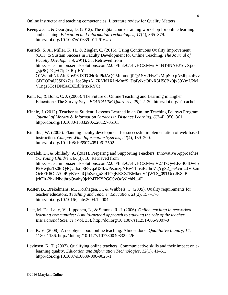Keengwe, J., & Georgina, D. (2012). The digital course training workshop for online learning and teaching. *Education and Information Technologies*, *17*(4), 365–379. http://doi.org/10.1007/s10639-011-9164-x

Kerrick, S. A., Miller, K. H., & Ziegler, C. (2015). Using Continuous Quality Improvement (CQI) to Sustain Success in Faculty Development for Online Teaching. *The Journal of Faculty Development*, *29*(1), 33. Retrieved from http://psu.summon.serialssolutions.com/2.0.0/link/0/eLvHCXMwnV1NT4NAEJ1ovXjx- \_sjc9QDCjvC1pOaRqJHY-O1WdhtbNKAlnKov96dXTCNtRdPkJAQCMubmcfjPQASV2HwCxMipSkxpAzJbpzbFvv GDEORaU3SiNz7as\_Joe5bpsA\_7RYkHXLrMmfS\_DpiWxcOPxR3H58Bx0jx59YmU2M V1ngs5Tc1DN5aaE6EdPlrtsxRYCt

- Kim, K., & Bonk, C. J. (2006). The Future of Online Teaching and Learning in Higher Education : The Survey Says. *EDUCAUSE Quarterly*, *29*, 22–30. http://doi.org/não achei
- Kinnie, J. (2012). Teacher as Student: Lessons Learned in an Online Teaching Fellows Program. *Journal of Library & Information Services in Distance Learning*, *6*(3-4), 350–361. http://doi.org/10.1080/1533290X.2012.705163
- Kinuthia, W. (2005). Planning faculty development for successful implementation of web-based instruction. *Campus-Wide Information Systems*, *22*(4), 189–200. http://doi.org/10.1108/10650740510617502

Koralek, D., & Shillady, A. (2011). Preparing and Supporting Teachers: Innovative Approaches. *YC Young Children*, *66*(3), 10. Retrieved from http://psu.summon.serialssolutions.com/2.0.0/link/0/eLvHCXMwnV27TsQwEFzB0dDwfo PkHwjkaTs06IQ4QUdxoj3F9vqaU3IkwPezmzgNBw11msiP2dnJZgYgS2\_j6AcmUJV0zm Oc6FK6OLV00PIyKVzuiQJoZca\_x8I41OgKEXZ7BMkeuV1jWTS\_09TUccJK8bBjzhFir-2hkiNbdjhrpQvahy9jchMTKYPGO0vOdWlchN\_-0I

- Koster, B., Brekelmans, M., Korthagen, F., & Wubbels, T. (2005). Quality requirements for teacher educators. *Teaching and Teacher Education*, *21*(2), 157–176. http://doi.org/10.1016/j.tate.2004.12.004
- Laat, M. De, Lally, V., Lipponen, L., & Simons, R.-J. (2006). *Online teaching in networked learning communities: A multi-method approach to studying the role of the teacher*. *Instructional Science* (Vol. 35). http://doi.org/10.1007/s11251-006-9007-0
- Lee, K. V. (2008). A neophyte about online teaching: Almost done. *Qualitative Inquiry*, *14*, 1180–1186. http://doi.org/10.1177/1077800408322226
- Levinsen, K. T. (2007). Qualifying online teachers: Communicative skills and their impact on elearning quality. *Education and Information Technologies*, *12*(1), 41–51. http://doi.org/10.1007/s10639-006-9025-1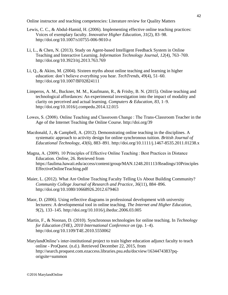- Lewis, C. C., & Abdul-Hamid, H. (2006). Implementing effective online teaching practices: Voices of exemplary faculty. *Innovative Higher Education*, *31*(2), 83–98. http://doi.org/10.1007/s10755-006-9010-z
- Li, L., & Chen, N. (2013). Study on Agent-based Intelligent Feedback System in Online Teaching and Interactive Learning. *Information Technology Journal*, *12*(4), 763–769. http://doi.org/10.3923/itj.2013.763.769
- Li, Q., & Akins, M. (2004). Sixteen myths about online teaching and learning in higher education: don't believe everything you hear. *TechTrends*, *49*(4), 51–60. http://doi.org/10.1007/BF02824111
- Limperos, A. M., Buckner, M. M., Kaufmann, R., & Frisby, B. N. (2015). Online teaching and technological affordances: An experimental investigation into the impact of modality and clarity on perceived and actual learning. *Computers & Education*, *83*, 1–9. http://doi.org/10.1016/j.compedu.2014.12.015
- Lowes, S. (2008). Online Teaching and Classroom Change : The Trans-Classroom Teacher in the Age of the Internet Teaching the Online Course. http://doi.org/39
- Macdonald, J., & Campbell, A. (2012). Demonstrating online teaching in the disciplines. A systematic approach to activity design for online synchronous tuition. *British Journal of Educational Technology*, *43*(6), 883–891. http://doi.org/10.1111/j.1467-8535.2011.01238.x
- Magna, A. (2009). 10 Principles of Effective Online Teaching : Best Practices in Distance Education. *Online*, 26. Retrieved from https://laulima.hawaii.edu/access/content/group/MAN.1248.201113/Readings/10Principles EffectiveOnlineTeaching.pdf
- Maier, L. (2012). What Are Online Teaching Faculty Telling Us About Building Community? *Community College Journal of Research and Practice*, *36*(11), 884–896. http://doi.org/10.1080/10668926.2012.679463
- Maor, D. (2006). Using reflective diagrams in professional development with university lecturers: A developmental tool in online teaching. *The Internet and Higher Education*, *9*(2), 133–145. http://doi.org/10.1016/j.iheduc.2006.03.005
- Martin, F., & Noonan, D. (2010). Synchronous technologies for online teaching. In *Technology for Education (T4E), 2010 International Conference on* (pp. 1–4). http://doi.org/10.1109/T4E.2010.5550062
- MarylandOnline's inter-institutional project to train higher education adjunct faculty to teach online - ProQuest. (n.d.). Retrieved December 22, 2015, from http://search.proquest.com.ezaccess.libraries.psu.edu/docview/1634474383?pqorigsite=summon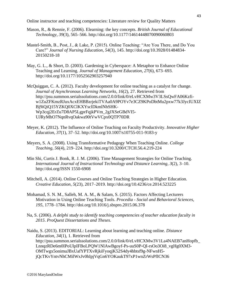- Mason, R., & Rennie, F. (2006). Elearning: the key concepts. *British Journal of Educational Technology*, *39*(3), 565–566. http://doi.org/10.1177/14614448070090060803
- Mastel-Smith, B., Post, J., & Lake, P. (2015). Online Teaching: "Are You There, and Do You Care?" *Journal of Nursing Education*, *54*(3), 145. http://doi.org/10.3928/01484834- 20150218-18
- May, G. L., & Short, D. (2003). Gardening in Cyberspace: A Metaphor to Enhance Online Teaching and Learning. *Journal of Management Education*, *27*(6), 673–693. http://doi.org/10.1177/1052562903257940
- McQuiggan, C. A. (2012). Faculty development for online teaching as a catalyst for change. *Journal of Asynchronous Learning Networks*, *16*(2), 27. Retrieved from http://psu.summon.serialssolutions.com/2.0.0/link/0/eLvHCXMw3V3LSsQwFA06Kzfiw1ZuZFKmzRJuxAcxEHBBzrjekiTVAa0A9POYv7e3CZ9KPoDbtMu2pxw77k3JycIUXIZ Bj9iQiQ15YZKQ0XClKXYsclDkmlNhSHK-Wp3cqj2ErZu7D8AP5LgprFqjkPVm\_2gJXSeGBdVI5- UJRyMhO7NqnRvqOakwa90tVwVCpx0QTP70DR
- Meyer, K. (2012). The Influence of Online Teaching on Faculty Productivity. *Innovative Higher Education*, *37*(1), 37–52. http://doi.org/10.1007/s10755-011-9183-y
- Meyers, S. A. (2008). Using Transformative Pedagogy When Teaching Online. *College Teaching*, *56*(4), 219–224. http://doi.org/10.3200/CTCH.56.4.219-224
- Min Shi, Curtis J. Bonk, R. J. M. (2006). Time Management Strategies for Online Teaching. *International Journal of Instructional Technology and Distance Learning*, *3*(2), 3–10. http://doi.org/ISSN 1550-6908
- Mitchell, A. (2014). Online Courses and Online Teaching Strategies in Higher Education. *Creative Education*, *5*(23), 2017–2019. http://doi.org/10.4236/ce.2014.523225
- Mohamad, S. N. M., Salleh, M. A. M., & Salam, S. (2015). Factors Affecting Lecturers Motivation in Using Online Teaching Tools. *Procedia - Social and Behavioral Sciences*, *195*, 1778–1784. http://doi.org/10.1016/j.sbspro.2015.06.378
- Na, S. (2006). *A delphi study to identify teaching competencies of teacher education faculty in 2015*. *ProQuest Dissertations and Theses*.

Naidu, S. (2013). EDITORIAL: Learning about learning and teaching online. *Distance Education*, *34*(1), 1. Retrieved from http://psu.summon.serialssolutions.com/2.0.0/link/0/eLvHCXMw3V1La4NAEB7anHopfb\_ LnnqzRDe6m0IPoUlpIFBoLPQW1NlAwBgoyf-Ps-uuS0P-QI-rsOo3Oi8\_vgHg0XM3- OMTwgx5onimuJBxUafYPTXvRjkiFyoqjK52S4dy4hbtsf9g-NFwnH5 jQcTKvYntvNhCMilWxJv0hIpjVqGn6YOKaukT97xP1wnZrWsPfICN36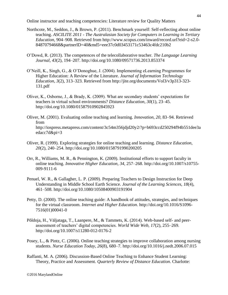- Northcote, M., Seddon, J., & Brown, P. (2011). Benchmark yourself: Self-reflecting about online teaching. *ASCILITE 2011 - The Australasian Society for Computers in Learning in Tertiary Education*, 904–908. Retrieved from http://www.scopus.com/inward/record.url?eid=2-s2.0- 84870794668&partnerID=40&md5=eee37c0d03453171c53463c4fdc210b2
- O'Dowd, R. (2013). The competences of the telecollaborative teacher. *The Language Learning Journal*, *43*(2), 194–207. http://doi.org/10.1080/09571736.2013.853374
- O'Neill, K., Singh, G., & O'Donoghue, J. (2004). Implementing eLearning Programmes for Higher Education: A Review of the Literature. *Journal of Information Technology Education*, *3*(2), 313–323. Retrieved from http://jite.org/documents/Vol3/v3p313-323- 131.pdf
- Oliver, K., Osborne, J., & Brady, K. (2009). What are secondary students' expectations for teachers in virtual school environments? *Distance Education*, *30*(1), 23–45. http://doi.org/10.1080/01587910902845923
- Oliver, M. (2001). Evaluating online teaching and learning. *Innovation*, *20*, 83–94. Retrieved from http://iospress.metapress.com/content/3c54m356jdjd20y2/?p=b693ccd250294f94b551dee3a edacc7d&pi=3
- Oliver, R. (1999). Exploring strategies for online teaching and learning. *Distance Education*, *20*(2), 240–254. http://doi.org/10.1080/0158791990200205
- Orr, R., Williams, M. R., & Pennington, K. (2009). Institutional efforts to support faculty in online teaching. *Innovative Higher Education*, *34*, 257–268. http://doi.org/10.1007/s10755- 009-9111-6
- Penuel, W. R., & Gallagher, L. P. (2009). Preparing Teachers to Design Instruction for Deep Understanding in Middle School Earth Science. *Journal of the Learning Sciences*, *18*(4), 461–508. http://doi.org/10.1080/10508400903191904
- Petty, D. (2000). The online teaching guide: A handbook of attitudes, strategies, and techniques for the virtual classroom. *Internet and Higher Education*. http://doi.org/10.1016/S1096- 7516(01)00041-0
- Põldoja, H., Väljataga, T., Laanpere, M., & Tammets, K. (2014). Web-based self- and peerassessment of teachers' digital competencies. *World Wide Web*, *17*(2), 255–269. http://doi.org/10.1007/s11280-012-0176-2
- Posey, L., & Pintz, C. (2006). Online teaching strategies to improve collaboration among nursing students. *Nurse Education Today*, *26*(8), 680–7. http://doi.org/10.1016/j.nedt.2006.07.015
- Raffanti, M. A. (2006). Discussion-Based Online Teaching to Enhance Student Learning: Theory, Practice and Assessment. *Quarterly Review of Distance Education*. Charlotte: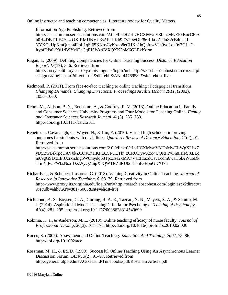Information Age Publishing. Retrieved from http://psu.summon.serialssolutions.com/2.0.0/link/0/eLvHCXMwnV3LTsMwEFxBucCF9x u0H4DBTtLE4YJ4tOKIRMUNVU3sAFLllKb9f7y20wOlF86RIktxZndnZ2cB4uias1- YYKOkUpXmQuap4lFpL1qSi65KKpsCyKxop8eCHKp1hQhfuwVJh9yqLok0v7GJiaClrybfDPaIkXd1rBSYx02qCqlH5Wzt0VXQXK3bM6GLEkKdrm

Ragan, L. (2009). Defining Competencies for Online Teaching Success. *Distance Education Report*, *13*(19), 3–6. Retrieved from http://moxy.eclibrary.ca.roxy.nipissingu.ca/login?url=http://search.ebscohost.com.roxy.nipi ssingu.ca/login.aspx?direct=true&db=ehh&AN=44769582&site=ehost-live

- Redmond, P. (2011). From face-to-face teaching to online teaching : Pedagogical transitions. *Changing Demands, Changing Directions: Proceedings Ascilite Hobart 2011*, (2002), 1050–1060.
- Rehm, M., Allison, B. N., Bencomo, A., & Godfrey, R. V. (2013). Online Education in Family and Consumer Sciences University Programs and Four Models for Teaching Online. *Family and Consumer Sciences Research Journal*, *41*(3), 235–253. http://doi.org/10.1111/fcsr.12011

Repetto, J., Cavanaugh, C., Wayer, N., & Liu, F. (2010). Virtual high schools: improving outcomes for students with disabilities. *Quarterly Review of Distance Education*, *11*(2), 91. Retrieved from http://psu.summon.serialssolutions.com/2.0.0/link/0/eLvHCXMwnV3JTsMwELWgXLiw7 yD5BwLekrpcUAV0kZCQaCnHKPECSFULTfr\_zCRODywXzo4UORPPvFn8HiFSXLLo m09gGSDxLElUzrxn3ngbW6mydq68Tpx3ze2xMA7VsEIEazdOsvLcdm6waH6lAWuoDk Tfm4\_PCFWksNsaJDXWyQZmpXhQWTRZdRU0q8TmIGRpnGDXf7n

- Richards, J., & Schubert-Irastorza, C. (2013). Valuing Creativity in Online Teaching. *Journal of Research in Innovative Teaching*, *6*, 68–79. Retrieved from http://www.proxy.its.virginia.edu/login?url=http://search.ebscohost.com/login.aspx?direct=t rue&db=ehh&AN=88176005&site=ehost-live
- Richmond, A. S., Boysen, G. A., Gurung, R. A. R., Tazeau, Y. N., Meyers, S. A., & Sciutto, M. J. (2014). Aspirational Model Teaching Criteria for Psychology. *Teaching of Psychology*, *41*(4), 281–295. http://doi.org/10.1177/0098628314549699
- Robinia, K. a., & Anderson, M. L. (2010). Online teaching efficacy of nurse faculty. *Journal of Professional Nursing*, *26*(3), 168–175. http://doi.org/10.1016/j.profnurs.2010.02.006
- Rocco, S. (2007). Assessment and Online Teaching. *Education And Training*, *2007*, 75–86. http://doi.org/10.1002/ace
- Rossman, M. H., & Ed, D. (1999). Successful Online Teaching Using An Asynchronous Learner Discussion Forum. *JALN*, *3*(2), 91–97. Retrieved from http://general.utpb.edu/FAC/keast\_d/Tunebooks/pdf/Rossman Article.pdf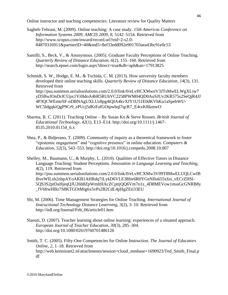- Sagheb-Tehrani, M. (2009). Online teaching: A case study. *15th Americas Conference on Information Systems 2009, AMCIS 2009*, *8*, 5142–5154. Retrieved from http://www.scopus.com/inward/record.url?eid=2-s2.0- 84870316911&partnerID=40&md5=8ef33edd092e901703aea43bc91e0c53
- Santilli, S., Beck, V., & Anonymous. (2005). Graduate Faculty Perceptions of Online Teaching. *Quarterly Review of Distance Education*, *6*(2), 155–160. Retrieved from http://search.epnet.com/login.aspx?direct=true&db=aph&an=17913825
- Schmidt, S. W., Hodge, E. M., & Tschida, C. M. (2013). How university faculty members developed their online teaching skills. *Quarterly Review of Distance Education*, *14*(3), 131. Retrieved from http://psu.summon.serialssolutions.com/2.0.0/link/0/eLvHCXMwnV3JTsMwELWgXLiw7 yD5BwJOnDrJCUpx1Yi0ldoA4hR5RUhVC2258PWM04QD0AuSJUv2KR575s2SeQjR4JJ 4P3QCWEmtrSF-nDBNAgUXLUz8pg4tQIA4kvXfY1U51E0dKVhKu1aSpebWU-WC5ldgqkiQgP9Cr9\_ePUcj5dKtFafGOtpwbql7qcR7\_E4rxKRkmwO
- Sharma, R. C. (2011). Teaching Online By Susan Ko & Steve Rossen. *British Journal of Educational Technology*, *42*(1), E13–E14. http://doi.org/10.1111/j.1467- 8535.2010.01154\_6.x
- Shea, P., & Bidjerano, T. (2009). Community of inquiry as a theoretical framework to foster "epistemic engagement" and "cognitive presence" in online education. *Computers & Education*, *52*(3), 543–553. http://doi.org/10.1016/j.compedu.2008.10.007
- Shelley, M., Baumann, U., & Murphy, L. (2010). Qualities of Effective Tutors in Distance Language Teaching: Student Perceptions. *Innovation in Language Learning and Teaching*, *4*(2), 119. Retrieved from http://psu.summon.serialssolutions.com/2.0.0/link/0/eLvHCXMw3V09T8MwELUQLCwIB IhveWILsh2nbpAYoAKB1AHRdq7iLykD6VLE38fnr6R0YGeNIlu655xfzs\_vECrZHSl-5QS3S2ptDaHjeqQJU26h8ZpWmltHAcZCpttjQQ6Vm7n1z\_4D8MEVow1mssGcGNRB8y \_fV6ftwHBz7S8KTGOtMtg6x5vPs2B2CdL4pHgZEti33EU
- Shi, M. (2006). Time Management Strategies for Online Teaching. *International Journal of Instructional Technology Distance Leaerning*, *3*(2), 3–10. Retrieved from http://itdl.org/Journal/Feb\_06/article01.htm
- Slaouti, D. (2007). Teacher learning about online learning: experiences of a situated approach. *European Journal of Teacher Education*, *30*(3), 285–304. http://doi.org/10.1080/02619760701486126
- Smith, T. C. (2005). Fifty-One Competencies for Online Instruction. *The Journal of Educators Online*, *2*, 1–18. Retrieved from http://web.kennisnet2.nl/attachments/session=cloud\_mmbase+1690923/Ted\_Smith\_Final.p df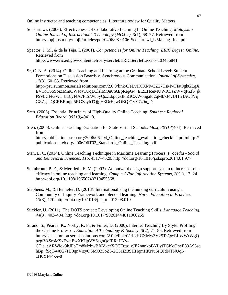- Soekartawi. (2006). Effectiveness Of Collaborative Learning In Online Teaching. *Malaysian Online Journal of Instructional Technology (MOJIT)*, *3*(1), 68–77. Retrieved from http://pppjj.usm.my/mojit/articles/pdf/0406/08-0106-Seokartawi\_UMalang-final.pdf
- Spector, J. M., & de la Teja, I. (2001). *Competencies for Online Teaching. ERIC Digest. Online*. Retrieved from http://www.eric.ed.gov/contentdelivery/servlet/ERICServlet?accno=ED456841
- Sr, C. N. A. (2014). Online Teaching and Learning at the Graduate School Level: Student Perceptions on Discussion Boards v. Synchronous Communication. *Journal of Systemics*, *12*(3), 60–65. Retrieved from http://psu.summon.serialssolutions.com/2.0.0/link/0/eLvHCXMw3Z27TsMwFIat0gkGLgX EVToTS5SoiZMmQWJoy1UqLClzlMQu6tAEpRepG4\_EI2LHceMUWICJsZWVqPZf5\_jk P99BCFtGW1\_bE8yI4A7FEcWu5yOsxLbpqG3FhGCXWongald2qMb7J4vUf1h4AQ8Vq GZZgTiQCRBRuqjd5RGZsyhTQjgH3DrEkwOBQF1yY7z0u\_D
- Sreb. (2003). Essential Principles of High-Quality Online Teaching. *Southern Regional Education Board*, *30318*(404), 8.
- Sreb. (2006). Online Teaching Evaluation for State Virtual Schools. *Most*, *30318*(404). Retrieved from http://publications.sreb.org/2006/06T04 Online teaching evaluation checklist.pdf\nhttp:// publications.sreb.org/2006/06T02\_Standards\_Online\_Teaching.pdf
- Stan, L. C. (2014). Online Teaching Technique in Maritime Learning Process. *Procedia - Social and Behavioral Sciences*, *116*, 4517–4520. http://doi.org/10.1016/j.sbspro.2014.01.977
- Steinbronn, P. E., & Merideth, E. M. (2003). An outward design support system to increase selfefficacy in online teaching and learning. *Campus-Wide Information Systems*, *20*(1), 17–24. http://doi.org/10.1108/10650740310455568
- Stephens, M., & Hennefer, D. (2013). Internationalising the nursing curriculum using a Community of Inquiry Framework and blended learning. *Nurse Education in Practice*, *13*(3), 170. http://doi.org/10.1016/j.nepr.2012.08.010
- Stickler, U. (2011). The DOTS project: Developing Online Teaching Skills. *Language Teaching*, *44*(3), 403–404. http://doi.org/10.1017/S0261444811000255
- Strand, S., Pearce, K., Norby, R. F., & Fuller, D. (2000). Internet Teaching By Style: Profiling the On-line Professor. *Educational Technology & Society*, *3*(2), 71–85. Retrieved from http://psu.summon.serialssolutions.com/2.0.0/link/0/eLvHCXMw3V25TsQwELWWrWgQ pzglVzSroMSxEwdEwXKIjpVY6sgnQoIERaHYv-CTia\_sARWiok3hJPbTm8MzbwBI0VkcrXCCErqz1cJE2nnnkbBYilyiTGKqOheE89A95sq hBp\_fSqT-w8G7HJ9qnVizyQSMO35oZ6-2C31iZ3SHHqmHKrJu5sQJdNTNUqI-1H6YFv4-A-8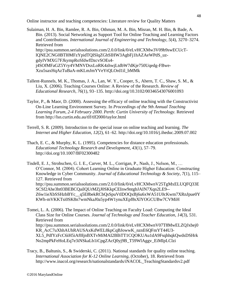Sulaiman, H. A. Bin, Ramlee, R. A. Bin, Othman, M. A. Bin, Misran, M. H. Bin, & Bade, A. Bin. (2013). Social Networking as Support Tool for Online Teaching and Learning Factors and Contributions. *International Journal of Engineering and Technology*, *5*(4), 3270–3274. Retrieved from http://psu.summon.serialssolutions.com/2.0.0/link/0/eLvHCXMw3V09b9swECUcTlQNE2CNG0BTl0MFzYpidTQISlqZGhSIHW3AgbFj1hAZAeWPdS\_uzgdyIVMXG7FJkympRoSfdwfDzcvSOEs4 j4SOfMFaGZ5Yry4VMNVDsxLoRK4zhwjLtdbW7dKje750Uqedg-FBwe-Xzu5saxHqAzTuBaA-mKLmJmYVeYtQLOrd1il\_bMMk

- Tallent-Runnels, M. K., Thomas, J. A., Lan, W. Y., Cooper, S., Ahern, T. C., Shaw, S. M., & Liu, X. (2006). Teaching Courses Online: A Review of the Research. *Review of Educational Research*, *76*(1), 93–135. http://doi.org/10.3102/00346543076001093
- Taylor, P., & Maor, D. (2000). Assessing the efficacy of online teaching with the Constructivist On-Line Learning Environment Survey. In *Proceedings of the 9th Annual Teaching Learning Forum, 2-4 February 2000. Perth: Curtin University of Technology.* Retrieved from http://lsn.curtin.edu.au/tlf/tlf2000/taylor.html
- Terrell, S. R. (2009). Introduction to the special issue on online teaching and learning. *The Internet and Higher Education*, *12*(2), 61–62. http://doi.org/10.1016/j.iheduc.2009.07.002
- Thach, E. C., & Murphy, K. L. (1995). Competencies for distance education professionals. *Educational Technology Research and Development*, *43*(1), 57–79. http://doi.org/10.1007/BF02300482

Tisdell, E. J., Strohschen, G. I. E., Carver, M. L., Corrigan, P., Nash, J., Nelson, M., … O'Connor, M. (2004). Cohort Learning Online in Graduate Higher Education: Constructing Knowledge in Cyber Community. *Journal of Educational Technology & Society*, *7*(1), 115– 127. Retrieved from http://psu.summon.serialssolutions.com/2.0.0/link/0/eLvHCXMwnV25TgMxELUQFQ33E SCSf2Ahe3ht03BEBCQailQUrMZjJ0SKkpCEInw9ntgbJAIN7Xqn2LE9-- Z6w1ieXbSSHzbBYc\_\_q5E8bekRCbQsSpuVtlDOQxBj6u6xWA51U0cKwm7XRnJpue0Y KWh-mVKKTsi0SK8n7wmNkaJ0a5yp4W1ynuXEpf8sXlYOGCUBw7CVMiH

Tomei, L. A. (2006). The Impact of Online Teaching on Faculty Load: Computing the Ideal Class Size for Online Courses. *Journal of Technology and Teacher Education*, *14*(3), 531. Retrieved from http://psu.summon.serialssolutions.com/2.0.0/link/0/eLvHCXMwnV07T8MwELZQJxbej0 KR\_AcC7uXhhAUhRAUSAxKdWEL8kpCqBJowwK\_nznE6QFmYT44U3- XL5\_PdfYzFcC6iH5iAf0ljnBXTvMiMAI2BlhTT1CQOKUAu1dA9FsqhhqkQwdsDSHrk No2mpPkFeHoLEq7e3iNSkaLb1iCpgZAcQ0yj9B\_T59WlAggv\_EiMIpLClzi

Tracy, B., Baltunis, S., & Swiderski, C. (2011). National standards for quality online teaching. *International Association for K-12 Online Learning*, (October), 18. Retrieved from http://www.inacol.org/research/nationalstandards/iNACOL\_TeachingStandardsv2.pdf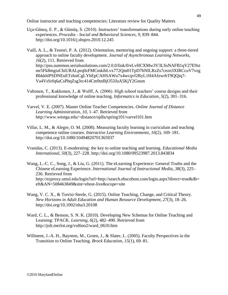- Uça-Güneş, E. P., & Gümüş, S. (2010). Instructors' transformations during early online teaching experiences. *Procedia - Social and Behavioral Sciences*, *9*, 839–844. http://doi.org/10.1016/j.sbspro.2010.12.245
- Vaill, A. L., & Testori, P. A. (2012). Orientation, mentoring and ongoing support: a three-tiered approach to online faculty development. *Journal of Asynchronous Learning Networks*, *16*(2), 111. Retrieved from http://psu.summon.serialssolutions.com/2.0.0/link/0/eLvHCXMw3V3LSsNAFB1qV27E9xt mr5Fk8mgiuChiURALprq0zFMCmkibLvx772Qm01TpD7hNILRzZs7cezn3XIRCcuV7vzg BbkkhlPSDNEuETzhstCgLYhEpCAHSAWu7x4wcqvf2RyL1H4AfzwrbT9QQiq7- Va4VsSrfq6aCsPhqZsg3rc414Cm9utBjO53JuA5KjY2Gnsm
- Valtonen, T., Kukkonen, J., & Wulff, A. (2006). High school teachers' course designs and their professional knowledge of online teaching. *Informatics in Education*, *5*(2), 301–316.
- Varvel, V. E. (2007). Master Online Teacher Competencies. *Online Journal of Distance Learning Administration*, *10*, 1–47. Retrieved from http://www.westga.edu/~distance/ojdla/spring101/varvel101.htm
- Villar, L. M., & Alegre, O. M. (2008). Measuring faculty learning in curriculum and teaching competence online courses. *Interactive Learning Environments*, *16*(2), 169–181. http://doi.org/10.1080/10494820701365937
- Vrasidas, C. (2013). E-moderating: the key to online teaching and learning. *Educational Media International*, *50*(3), 227–228. http://doi.org/10.1080/09523987.2013.843834
- Wang, L.-C. C., Song, J., & Liu, G. (2011). The eLearning Experience: General Truths and the Chinese eLearning Experience. *International Journal of Instructional Media*, *38*(3), 225– 236. Retrieved from http://ezproxy.umsl.edu/login?url=http://search.ebscohost.com/login.aspx?direct=true&db= eft&AN=508463849&site=ehost-live&scope=site
- Wang, V. C. X., & Torrisi-Steele, G. (2015). Online Teaching, Change, and Critical Theory. *New Horizons in Adult Education and Human Resource Development*, *27*(3), 18–26. http://doi.org/10.1002/nha3.20108
- Ward, C. L., & Benson, S. N. K. (2010). Developing New Schemas for Online Teaching and Learning: TPACK. *Learning*, *6*(2), 482–490. Retrieved from http://jolt.merlot.org/vol6no2/ward\_0610.htm
- Willment, J.-A. H., Baynton, M., Groen, J., & Slater, L. (2005). Faculty Perspectives in the Transition to Online Teaching. *Brock Education*, *15*(1), 69–81.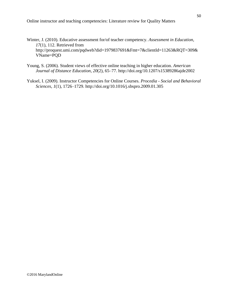- Winter, J. (2010). Educative assessment for/of teacher competency. *Assessment in Education*, *17*(1), 112. Retrieved from http://proquest.umi.com/pqdweb?did=1979837691&Fmt=7&clientId=11263&RQT=309& VName=PQD
- Young, S. (2006). Student views of effective online teaching in higher education. *American Journal of Distance Education*, *20*(2), 65–77. http://doi.org/10.1207/s15389286ajde2002
- Yuksel, I. (2009). Instructor Competencies for Online Courses. *Procedia - Social and Behavioral Sciences*, *1*(1), 1726–1729. http://doi.org/10.1016/j.sbspro.2009.01.305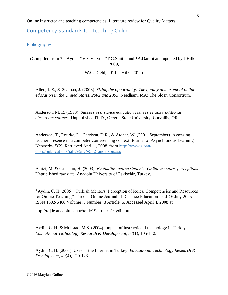<span id="page-50-0"></span>Competency Standards for Teaching Online

<span id="page-50-1"></span>Bibliography

(Compiled from \*C.Aydin, \*V.E.Varvel, \*T.C.Smith, and \*A.Darabi and updated by J.Hilke, 2009,

W.C..Diehl, 2011, J.Hilke 2012)

Allen, I. E., & Seaman, J. (2003). *Sizing the opportunity: The quality and extent of online education in the United States, 2002 and 2003*. Needham, MA: The Sloan Consortium.

Anderson, M. R. (1993). *Success in distance education courses versus traditional classroom courses.* Unpublished Ph.D., Oregon State University, Corvallis, OR.

Anderson, T., Rourke, L., Garrison, D.R., & Archer, W. (2001, September). Assessing teacher presence in a computer conferencing context. Journal of Asynchronous Learning Networks, 5(2). Retrieved April 1, 2008, from [http://www.sloan](http://www.sloan-c.org/publications/jaln/v5n2/v5n2_anderson.asp)[c.org/publications/jaln/v5n2/v5n2\\_anderson.asp](http://www.sloan-c.org/publications/jaln/v5n2/v5n2_anderson.asp) 

Ataizi, M. & Caliskan, H. (2003). *Evaluating online students: Online mentors' perceptions.* Unpublished raw data, Anadolu University of Eskisehir, Turkey.

\*Aydin, C. H (2005) "Turkish Mentors' Perception of Roles, Competencies and Resources for Online Teaching", Turkish Online Journal of Distance Education-TOJDE July 2005 ISSN 1302-6488 Volume :6 Number: 3 Article: 5. Accessed April 4, 2008 at

http://tojde.anadolu.edu.tr/tojde19/articles/caydin.htm

Aydin, C. H. & McIsaac, M.S. (2004). Impact of instructional technology in Turkey. *Educational Technology Research & Development, 54*(1), 105-112.

Aydin, C. H. (2001). Uses of the Internet in Turkey. *Educational Technology Research & Development, 49*(4), 120-123.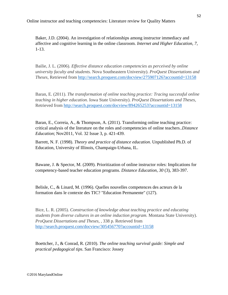Baker, J.D. (2004). An investigation of relationships among instructor immediacy and affective and cognitive learning in the online classroom. *Internet and Higher Education, 7*, 1-13.

Bailie, J. L. (2006). *Effective distance education competencies as perceived by online university faculty and students.* Nova Southeastern University). *ProQuest Dissertations and Theses,* Retrieved from <http://search.proquest.com/docview/275907126?accountid=13158>

Baran, E. (2011). *The transformation of online teaching practice: Tracing successful online teaching in higher education.* Iowa State University). *ProQuest Dissertations and Theses,*  Retrieved from<http://search.proquest.com/docview/894265253?accountid=13158>

Baran, E., Correia, A., & Thompson, A. (2011). Transforming online teaching practice: critical analysis of the literature on the roles and competencies of online teachers..*Distance Education*; Nov2011, Vol. 32 Issue 3, p. 421-439.

Barrett, N. F. (1998). *Theory and practice of distance education*. Unpublished Ph.D. of Education, University of Illinois, Champaign-Urbana, IL.

Bawane, J. & Spector, M. (2009). Prioritization of online instructor roles: Implications for competency-based teacher education programs. *Distance Education*, *30* (3), 383-397.

Belisle, C., & Linard, M. (1996). Quelles nouvelles competences des acteurs de la formation dans le contexte des TIC? "Education Permanente" (127).

Bice, L. R. (2005). *Construction of knowledge about teaching practice and educating students from diverse cultures in an online induction program.* Montana State University). *ProQuest Dissertations and Theses,* , 338 p. Retrieved from <http://search.proquest.com/docview/305456770?accountid=13158>

Boettcher, J., & Conrad, R. (2010). *The online teaching survival guide: Simple and practical pedagogical tips*. San Francisco: Jossey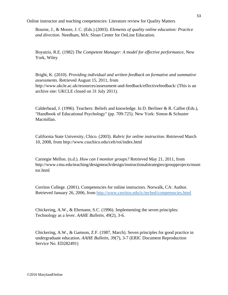Bourne, J., & Moore, J. C. (Eds.) (2003). *Elements of quality online education: Practice and direction*. Needham, MA: Sloan Center for OnLine Education.

Boyatzis, R.E. (1982) *The Competent Manager: A model for effective performance,* New York, Wiley

Bright, K. (2010). *Providing individual and written feedback on formative and summative assessments.* Retrieved August 15, 2011, from http://www.ukcle.ac.uk/resources/assessment-and-feedback/effectivefeedback/ (This is an archive site: UKCLE closed on 31 July 2011).

Calderhead, J. (1996). Teachers: Beliefs and knowledge. In D. Berliner & R. Calfee (Eds.), "Handbook of Educational Psychology" (pp. 709-725). New York: Simon & Schuster Macmillan.

California State University, Chico. (2003). *Rubric for online instruction*. Retrieved March 10, 2008, from http://www.csuchico.edu/celt/roi/index.html

Carnegie Mellon. (n.d.). *How can I monitor groups?* Retrieved May 21, 2011, from http://www.cmu.edu/teaching/designteach/design/instructionalstrategies/groupprojects/moni tor.html

Cerritos College. (2001). Competencies for online instructors. Norwalk, CA: Author. Retrieved January 26, 2006, from<http://www.cerritos.edu/ic/teched/competencies.html>

Chickering, A.W., & Ehrmann, S.C. (1996). Implementing the seven principles: Technology as a lever. *AAHE Bulletin, 49*(2), 3-6.

Chickering, A.W., & Gamson, Z.F. (1987, March). Seven principles for good practice in undergraduate education. *AAHE Bulletin, 39*(7), 3-7 (ERIC Document Reproduction Service No. ED282491)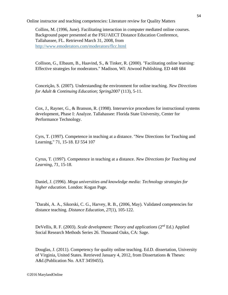Collins, M. (1996, June). Facilitating interaction in computer mediated online courses. Background paper presented at the FSU/AECT Distance Education Conference, Tallahassee, FL. Retrieved March 31, 2008, from <http://www.emoderators.com/moderators/flcc.html>

Collison, G., Elbaum, B., Haavind, S., & Tinker, R. (2000). "Facilitating online learning: Effective strategies for moderators." Madison, WI: Atwood Publishing. ED 448 684

Conceição, S. (2007). Understanding the environment for online teaching. *New Directions for Adult & Continuing Education*; *Spring2007* (113), 5-11.

Cox, J., Rayner, G., & Branson, R. (1998). Interservice procedures for instructional systems development, Phase I: Analyze. Tallahassee: Florida State University, Center for Performance Technology.

Cyrs, T. (1997). Competence in teaching at a distance. "New Directions for Teaching and Learning," 71, 15-18. EJ 554 107

Cyrus, T. (1997). Competence in teaching at a distance. *New Directions for Teaching and Learning, 71*, 15-18.

Daniel, J. (1996). *Mega universities and knowledge media: Technology strategies for higher education.* London: Kogan Page.

\*Darabi, A. A., Sikorski, C. G., Harvey, R. B., (2006, May). Validated competencies for distance teaching. *Distance Education, 27*(1), 105-122.

DeVellis, R. F. (2003). *Scale development: Theory and applications* (2nd Ed.) Applied Social Research Methods Series 26. Thousand Oaks, CA: Sage.

Douglas, J. (2011). Competency for quality online teaching. Ed.D. dissertation, University of Virginia, United States. Retrieved January 4, 2012, from Dissertations & Theses: A&I.(Publication No. AAT 3459455).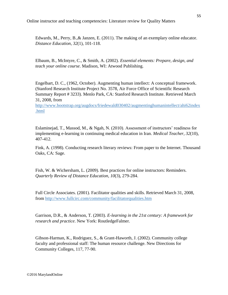Edwards, M., Perry, B.,& Janzen, E. (2011). The making of an exemplary online educator. *Distance Education*, *32*(1), 101-118.

Elbaum, B., McIntyre, C., & Smith, A. (2002). *Essential elements: Prepare, design, and teach your online course*. Madison, WI: Atwood Publishing.

Engelbart, D. C., (1962, October). Augmenting human intellect: A conceptual framework. (Stanford Research Institute Project No. 3578, Air Force Office of Scientific Research Summary Report # 3233). Menlo Park, CA: Stanford Research Institute. Retrieved March 31, 2008, from

[http://www.bootstrap.org/augdocs/friedewald030402/augmentinghumanintellect/ahi62index](http://www.bootstrap.org/augdocs/friedewald030402/augmentinghumanintellect/ahi62index.html) [.html](http://www.bootstrap.org/augdocs/friedewald030402/augmentinghumanintellect/ahi62index.html)

Eslaminejad, T., Massod, M., & Ngah, N. (2010). Assessment of instructors' readiness for implementing e-learning in continuing medical education in Iran. *Medical Teacher*, *32*(10), 407-412.

Fink, A. (1998). Conducting research literary reviews: From paper to the Internet. Thousand Oaks, CA: Sage.

Fish, W. & Wichersham, L. (2009). Best practices for online instructors: Reminders. *Quarterly Review of Distance Education*, *10*(3), 279-284.

Full Circle Associates. (2001). Facilitator qualities and skills. Retrieved March 31, 2008, from<http://www.fullcirc.com/community/facilitatorqualities.htm>

Garrison, D.R., & Anderson, T. (2003). *E-learning in the 21st century: A framework for research and practice*. New York: RoutledgeFalmer.

Gibson-Harman, K., Rodriguez, S., & Grant-Haworth, J. (2002). Community college faculty and professional staff: The human resource challenge. New Directions for Community Colleges, 117, 77-90.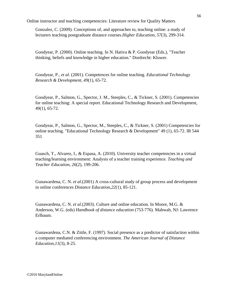Gonzalez, C. (2009). Conceptions of, and approaches to, teaching online: a study of lecturers teaching postgraduate distance courses.*Higher Education*, *57*(3), 299-314.

Goodyear, P. (2000). Online teaching. In N. Hativa & P. Goodyear (Eds.), "Teacher thinking, beliefs and knowledge in higher education." Dordrecht: Kluwer.

Goodyear, P., *et al.* (2001). Competences for online teaching. *Educational Technology Research & Development, 49*(1), 65-72.

Goodyear, P., Salmon, G., Spector, J. M., Steeples, C., & Tickner, S. (2001). Competencies for online teaching: A special report. Educational Technology Research and Development, 49(1), 65-72.

Goodyear, P., Salmon, G., Spector, M., Steeples, C., & Tickner, S. (2001) Competencies for online teaching. "Educational Technology Research & Development" 49 (1), 65-72. IR 544 351

Guasch, T., Alvarez, I., & Espasa, A. (2010). University teacher competencies in a virtual teaching/learning environment: Analysis of a teacher training experience. *Teaching and Teacher Education*, *26*(2), 199-206.

Gunawardena, C. N. *et al.*(2001) A cross-cultural study of group process and development in online conferences *Distance Education,22*(1), 85-121.

Gunawardena, C. N. *et al.*(2003). Culture and online education. In Moore, M.G. & Anderson, W.G. (eds) *Handbook of distance education* (753-776)*.* Mahwah, NJ: Lawrence Erlbaum.

Gunawardena, C.N. & Zittle, F. (1997). Social presence as a predictor of satisfaction within a computer mediated conferencing environment. *The American Journal of Distance Education,11*(3), 8-25.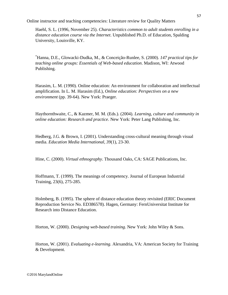Haehl, S. L. (1996, November 25). *Characteristics common to adult students enrolling in a distance education course via the Internet*. Unpublished Ph.D. of Education, Spalding University, Louisville, KY.

\*Hanna, D.E., Glowacki-Dudka, M., & Conceição-Runlee, S. (2000). *147 practical tips for teaching online groups: Essentials of Web-based education*. Madison, WI: Atwood Publishing.

Harasim, L. M. (1990). Online education: An environment for collaboration and intellectual amplification. In L. M. Harasim (Ed.), *Online education: Perspectives on a new environment* (pp. 39-64). New York: Praeger.

Haythornthwaite, C., & Kazmer, M. M. (Eds.). (2004). *Learning, culture and community in online education: Research and practice*. New York: Peter Lang Publishing, Inc.

Hedberg, J.G. & Brown, I. (2001). Understanding cross-cultural meaning through visual media. *Education Media International, 39*(1), 23-30.

Hine, C. (2000). *Virtual ethnography*. Thousand Oaks, CA: SAGE Publications, Inc.

Hoffmann, T. (1999). The meanings of competency. Journal of European Industrial Training, 23(6), 275-285.

Holmberg, B. (1995). The sphere of distance education theory revisited (ERIC Document Reproduction Service No. ED386578). Hagen, Germany: FernUniversitat Institute for Research into Distance Education.

Horton, W. (2000). *Designing web-based training.* New York: John Wiley & Sons.

Horton, W. (2001). *Evaluating e-learning*. Alexandria, VA: American Society for Training & Development.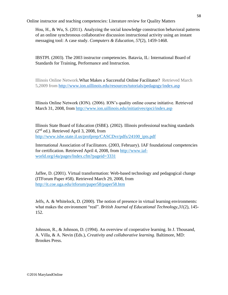Hou, H., & Wu, S. (2011). Analyzing the social knowledge construction behavioral patterns of an online synchronous collaborative discussion instructional activity using an instant messaging tool: A case study. *Computers & Education, 57*(2), 1459-1468.

IBSTPI. (2003). The 2003 instructor competencies. Batavia, IL: International Board of Standards for Training, Performance and Instruction.

Illinois Online Network[.What Makes a Successful Online Facilitator?](http://illinois.online.uillinois.edu/Resources/tutorials/pedagogy/instructorProfile.asp) Retrieved March 5,2009 from<http://www.ion.uillinois.edu/resources/tutorials/pedagogy/index.asp>

Illinois Online Network (ION). (2006). ION's quality online course initiative. Retrieved March 31, 2008, from<http://www.ion.uillinois.edu/initiatives/qoci/index.asp>

Illinois State Board of Education (ISBE). (2002). Illinois professional teaching standards  $(2<sup>nd</sup>$  ed.). Retrieved April 3, 2008, from [http://www.isbe.state.il.us/profprep/CASCDvr/pdfs/24100\\_ipts.pdf](http://www.isbe.state.il.us/profprep/CASCDvr/pdfs/24100_ipts.pdf)

International Association of Facilitators. (2003, February). IAF foundational competencies for certification. Retrieved April 4, 2008, from [http://www.iaf](http://www.iaf-world.org/i4a/pages/Index.cfm?pageid=3331%20)[world.org/i4a/pages/Index.cfm?pageid=3331](http://www.iaf-world.org/i4a/pages/Index.cfm?pageid=3331%20) 

Jaffee, D. (2001). Virtual transformation: Web-based technology and pedagogical change (ITForum Paper #58). Retrieved March 29, 2008, from <http://it.coe.uga.edu/itforum/paper58/paper58.htm>

Jelfs, A. & Whitelock, D. (2000). The notion of presence in virtual learning environments: what makes the environment "real". *British Journal of Educational Technology,31*(2), 145- 152.

Johnson, R., & Johnson, D. (1994). An overview of cooperative learning. In J. Thousand, A. Villa, & A. Nevin (Eds.), *Creativity and collaborative learning*. Baltimore, MD: Brookes Press.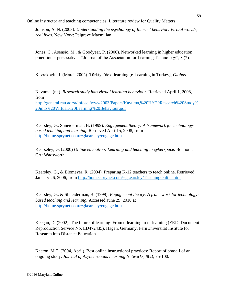Joinson, A. N. (2003). *Understanding the psychology of Internet behavior: Virtual worlds, real lives*. New York: Palgrave Macmillan.

Jones, C., Asensio, M., & Goodyear, P. (2000). Networked learning in higher education: practitioner perspectives. "Journal of the Association for Learning Technology", 8 (2).

Kavrakoglu, I. (March 2002). Türkiye'de e-learning [e-Learning in Turkey], *Globus.*

Kavuma, (nd). *Research study into virtual learning behaviour.* Retrieved April 1, 2008, from [http://general.rau.ac.za/infosci/www2003/Papers/Kavuma,%20H%20Research%20Study%](http://general.rau.ac.za/infosci/www2003/Papers/Kavuma,%20H%20Research%20Study%20into%20Virtual%20Learning%20Behaviour.pdf) [20into%20Virtual%20Learning%20Behaviour.pdf](http://general.rau.ac.za/infosci/www2003/Papers/Kavuma,%20H%20Research%20Study%20into%20Virtual%20Learning%20Behaviour.pdf)

Kearsley, G., Shneiderman, B. (1999). *Engagement theory: A framework for technologybased teaching and learning.* Retrieved April15, 2008, from <http://home.sprynet.com/~gkearsley/engage.htm>

Kearseley, G. (2000) *Online education: Learning and teaching in cyberspace.* Belmont, CA: Wadsworth.

Kearsley, G., & Blomeyer, R. (2004). Preparing K-12 teachers to teach online. Retrieved January 26, 2006, from<http://home.sprynet.com/~gkearsley/TeachingOnline.htm>

Kearsley, G., & Shneiderman, B. (1999). *Engagement theory: A framework for technologybased teaching and learning.* Accessed June 29, 2010 at <http://home.sprynet.com/~gkearsley/engage.htm>

Keegan, D. (2002). The future of learning: From e-learning to m-learning (ERIC Document Reproduction Service No. ED472435). Hagen, Germany: FernUniversitat Institute for Research into Distance Education.

Keeton, M.T. (2004, April). Best online instructional practices: Report of phase I of an ongoing study. *Journal of Asynchronous Learning Networks, 8*(2), 75-100.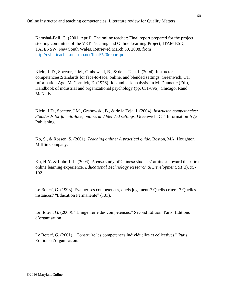Kemshal-Bell, G. (2001, April). The online teacher: Final report prepared for the project steering committee of the VET Teaching and Online Learning Project, ITAM ESD, TAFENSW. New South Wales. Retrieved March 30, 2008, from <http://cyberteacher.onestop.net/final%20report.pdf>

Klein, J. D., Spector, J. M., Grabowski, B., & de la Teja, I. (2004). Instructor competencies:Standards for face-to-face, online, and blended settings. Greenwich, CT: Information Age. McCormick, E. (1976). Job and task analysis. In M. Dunnette (Ed.), Handbook of industrial and organizational psychology (pp. 651-696). Chicago: Rand McNally.

Klein, J.D., Spector, J.M., Grabowski, B., & de la Teja, I. (2004). *Instructor competencies: Standards for face-to-face, online, and blended settings.* Greenwich, CT: Information Age Publishing.

Ko, S., & Rossen, S. (2001). *Teaching online: A practical guide*. Boston, MA: Houghton Mifflin Company.

Ku, H-Y. & Lohr, L.L. (2003). A case study of Chinese students' attitudes toward their first online learning experience. *Educational Technology Research & Development, 51*(3), 95- 102.

Le Boterf, G. (1998). Evaluer ses competences, quels jugements? Quells criteres? Quelles instances? "Education Permanente" (135).

Le Boterf, G. (2000). "L'ingenierie des competences," Second Edition. Paris: Editions d'organisation.

Le Boterf, G. (2001). "Construire les competences individuelles et collectives." Paris: Editions d'organisation.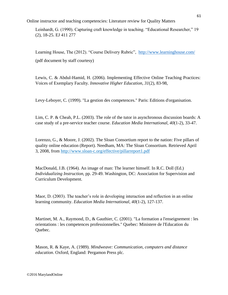Leinhardt, G. (1990). Capturing craft knowledge in teaching. "Educational Researcher," 19 (2), 18-25. EJ 411 277

Learning House, The (2012). "Course Delivery Rubric", <http://www.learninghouse.com/> (pdf document by staff courtesy)

Lewis, C. & Abdul-Hamid, H. (2006). Implementing Effective Online Teaching Practices: Voices of Exemplary Faculty. *Innovative Higher Education*, *31*(2), 83-98,

Levy-Leboyer, C. (1999). "La gestion des competences." Paris: Editions d'organisation.

Lim, C. P. & Cheah, P.L. (2003). The role of the tutor in asynchronous discussion boards: A case study of a pre-service teacher course. *Education Media International, 40*(1-2), 33-47.

Lorenzo, G., & Moore, J. (2002). The Sloan Consortium report to the nation: Five pillars of quality online education (Report). Needham, MA: The Sloan Consortium. Retrieved April 3, 2008, from<http://www.sloan-c.org/effective/pillarreport1.pdf>

MacDonald, J.B. (1964). An image of man: The learner himself. In R.C. Doll (Ed.) *Individualizing Instruction*, pp. 29-49. Washington, DC: Association for Supervision and Curriculum Development.

Maor, D. (2003). The teacher's role in developing interaction and reflection in an online learning community. *Education Media International, 40*(1-2), 127-137.

Martinet, M. A., Raymond, D., & Gauthier, C. (2001). "La formation a l'enseignement : les orientations : les competences professionnelles." Quebec: Ministere de l'Education du Quebec.

Mason, R. & Kaye, A. (1989). *Mindweave: Communication, computers and distance education*. Oxford, England: Pergamon Press plc.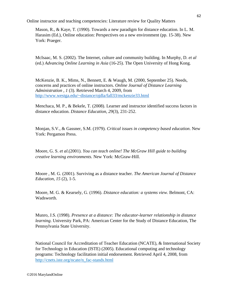Mason, R., & Kaye, T. (1990). Towards a new paradigm for distance education. In L. M. Harasim (Ed.), Online education: Perspectives on a new environment (pp. 15-38). New York: Praeger.

McIsaac, M. S. (2002). The Internet, culture and community building. In Murphy, D. *et al* (ed.) *Advancing Online Learning in Asia* (16-25). The Open University of Hong Kong.

McKenzie, B. K., Mims, N., Bennett, E. & Waugh, M. (2000, September 25). Needs, concerns and practices of online instructors. *Online Journal of Distance Learning Administration* , *1* (3). Retrieved March 4, 2009, from <http://www.westga.edu/~distance/ojdla/fall33/mckenzie33.html>

Menchaca, M. P., & Bekele, T. (2008). Learner and instructor identified success factors in distance education. *Distance Education*, *29*(3), 231-252.

Monjan, S.V., & Gassner, S.M. (1979). *Critical issues in competency based education*. New York: Pergamon Press.

Moore, G. S. *et al.*(2001). *You can teach online! The McGraw Hill guide to building creative learning environments.* New York: McGraw-Hill.

Moore , M. G. (2001). Surviving as a distance teacher. *The American Journal of Distance Education, 15* (2), 1-5.

Moore, M. G. & Kearsely, G. (1996). *Distance education: a systems view.* Belmont, CA: Wadsworth.

Munro, J.S. (1998). *Presence at a distance: The educator-learner relationship in distance learning*. University Park, PA: American Center for the Study of Distance Education, The Pennsylvania State University.

National Council for Accreditation of Teacher Education (NCATE), & International Society for Technology in Education (ISTE) (2005). Educational computing and technology programs: Technology facilitation initial endorsement. Retrieved April 4, 2008, from [http://cnets.iste.org/ncate/n\\_fac-stands.html](http://cnets.iste.org/ncate/n_fac-stands.html)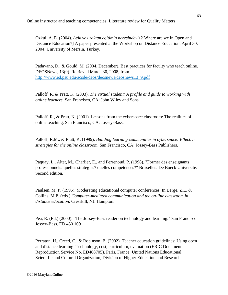Ozkul, A. E. (2004). *Acik ve uzaktan egitimin neresindeyiz?*[Where are we in Open and Distance Education?] A paper presented at the Workshop on Distance Education, April 30, 2004, University of Mersin, Turkey.

Padavano, D., & Gould, M. (2004, December). Best practices for faculty who teach online. DEOSNews, 13(9). Retrieved March 30, 2008, from [http://www.ed.psu.edu/acsde/deos/deosnews/deosnews13\\_9.pdf](http://www.ed.psu.edu/acsde/deos/deosnews/deosnews13_9.pdf)

Palloff, R. & Pratt, K. (2003). *The virtual student: A profile and guide to working with online learners.* San Francisco, CA: John Wiley and Sons.

Palloff, R., & Pratt, K. (2001). Lessons from the cyberspace classroom: The realities of online teaching. San Francisco, CA: Jossey-Bass.

Palloff, R.M., & Pratt, K. (1999). *Building learning communities in cyberspace: Effective strategies for the online classroom.* San Francisco, CA: Jossey-Bass Publishers.

Paquay, L., Altet, M., Charlier, E., and Perrenoud, P. (1998). "Former des enseignants professionnels: quelles strategies? quelles competences?" Bruxelles: De Boeck Universite. Second edition.

Paulsen, M. P. (1995). Moderating educational computer conferences. In Berge, Z.L. & Collins, M.P. (eds.) *Computer-mediated communication and the on-line classroom in distance education.* Cresskill, NJ: Hampton.

Pea, R. (Ed.) (2000). "The Jossey-Bass reader on technology and learning." San Francisco: Jossey-Bass. ED 450 109

Perraton, H., Creed, C., & Robinson, B. (2002). Teacher education guidelines: Using open and distance learning. Technology, cost, curriculum, evaluation (ERIC Document Reproduction Service No. ED468705). Paris, France: United Nations Educational, Scientific and Cultural Organization, Division of Higher Education and Research.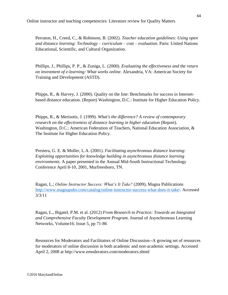Perraton, H., Creed, C., & Robinson, B. (2002). *Teacher education guidelines: Using open and distance learning: Technology – curriculum – cost – evaluation.* Paris: United Nations Educational, Scientific, and Cultural Organization.

Phillips, J., Phillips, P. P., & Zuniga, L. (2000). *Evaluating the effectiveness and the return on investment of e-learning: What works online*. Alexandria, VA: American Society for Training and Development (ASTD).

Phipps, R., & Harvey, J. (2000). Quality on the line: Benchmarks for success in Internetbased distance education. (Report) Washington, D.C.: Institute for Higher Education Policy.

Phipps, R., & Merisotis, J. (1999). *What's the difference? A review of contemporary research on the effectiveness of distance learning in higher education* (Report). Washington, D.C.: American Federation of Teachers, National Education Association, & The Institute for Higher Education Policy.

Prestera, G. E. & Moller, L.A. (2001). *Facilitating asynchronous distance learning: Exploiting opportunities for knowledge building in asynchronous distance learning environments.* A paper presented in the Annual Mid-South Instructional Technology Conference April 8-10, 2001, Murfreesboro, TN.

Ragan, L.; *Online Instructor Success: What's It Take?* (2009), Magna Publications [http://www.magnapubs.com/catalog/online-instructor-success-what-does-it-take/.](http://www.magnapubs.com/catalog/online-instructor-success-what-does-it-take/) Accessed 3/3/11

Ragan, L., Bigatel, P.M. et al. (2012) *From Research to Practice: Towards an Integrated and Comprehensive Faculty Development Program*. Journal of Asynchronous Learning Networks, Volume16: Issue 5, pp 71-86

Resources for Moderators and Facilitators of Online Discussion--A growing set of resources for moderators of online discussion in both academic and non-academic settings. Accessed April 2, 2008 at<http://www.emoderators.com/moderators.shtml>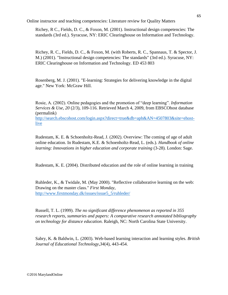Richey, R C., Fields, D. C., & Foxon, M. (2001). Instructional design competencies: The standards (3rd ed.). Syracuse, NY: ERIC Clearinghouse on Information and Technology.

Richey, R. C., Fields, D. C., & Foxon, M. (with Roberts, R. C., Spannaus, T. & Spector, J. M.) (2001). "Instructional design competencies: The standards" (3rd ed.). Syracuse, NY: ERIC Clearinghouse on Information and Technology. ED 453 803

Rosenberg, M. J. (2001). "E-learning: Strategies for delivering knowledge in the digital age." New York: McGraw Hill.

Rosie, A. (2002). Online pedagogies and the promotion of "deep learning". *Information Services & Use, 20* (2/3), 109-116. Retrieved March 4, 2009, from EBSCOhost database (permalink)

[http://search.ebscohost.com/login.aspx?direct=true&db=aph&AN=4507803&site=ehost](http://search.ebscohost.com/login.aspx?direct=true&db=aph&AN=4507803&site=ehost-live)[live](http://search.ebscohost.com/login.aspx?direct=true&db=aph&AN=4507803&site=ehost-live)

Rudestam, K. E. & Schoenholtz-Read, J. (2002). Overview: The coming of age of adult online education. In Rudestam, K.E. & Schoenholtz-Read, L. (eds.). *Handbook of online learning: Innovations in higher education and corporate training (3-28). London: Sage.* 

Rudestam, K. E. (2004). Distributed education and the role of online learning in training

Ruhleder, K., & Twidale, M. (May 2000). "Reflective collaborative learning on the web: Drawing on the master class." *First Monday*, [http://www.firstmonday.dk/issues/issue5\\_5/ruhleder/](http://www.firstmonday.dk/issues/issue5_5/ruhleder/)

Russell, T. L. (1999). *The no significant difference phenomenon as reported in 355 research reports, summaries and papers: A comparative research annotated bibliography on technology for distance education*. Raleigh, NC: North Carolina State University.

Sabry, K. & Baldwin, L. (2003). Web-based learning interaction and learning styles. *British Journal of Educational Technology,34*(4), 443-454.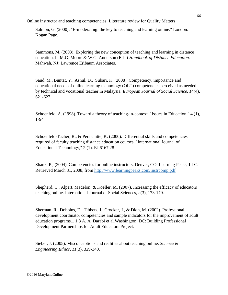Salmon, G. (2000). "E-moderating: the key to teaching and learning online." London: Kogan Page.

Sammons, M. (2003). Exploring the new conception of teaching and learning in distance education. In M.G. Moore & W.G. Anderson (Eds.) *Handbook of Distance Education*. Mahwah, NJ: Lawrence Erlbaum Associates.

Saud, M., Buntat, Y., Asnul, D., Subari, K. (2008). Competency, importance and educational needs of online learning technology (OLT) competencies perceived as needed by technical and vocational teacher in Malaysia. *European Journal of Social Science*, *14*(4), 621-627.

Schoenfeld, A. (1998). Toward a theory of teaching-in-context. "Issues in Education," 4 (1), 1-94

Schoenfeld-Tacher, R., & Persichitte, K. (2000). Differential skills and competencies required of faculty teaching distance education courses. "International Journal of Educational Technology," 2 (1). EJ 6167 28

Shank, P., (2004). Competencies for online instructors. Denver, CO: Learning Peaks, LLC. Retrieved March 31, 2008, from<http://www.learningpeaks.com/instrcomp.pdf>

Shepherd, C., Alpert, Madelon, & Koeller, M. (2007). Increasing the efficacy of educators teaching online. International Journal of Social Sciences, *2*(3), 173-179.

Sherman, R., Dobbins, D., Tibbets, J., Crocker, J., & Dion, M. (2002). Professional development coordinator competencies and sample indicators for the improvement of adult education programs.1 1 8 A. A. Darabi et al.Washington, DC: Building Professional Development Partnerships for Adult Educators Project.

Sieber, J. (2005). Misconceptions and realities about teaching online. *Science & Engineering Ethics*, *11*(3), 329-340.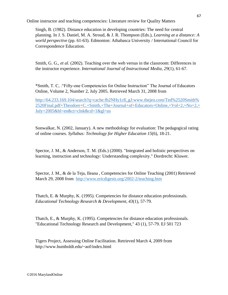Singh, B. (1982). Distance education in developing countries: The need for central planning. In J. S. Daniel, M. A. Stroud, & J. R. Thompson (Eds.), *Learning at a distance: A world perspective* (pp. 61-63). Edmonton: Athabasca University / International Council for Correspondence Education.

Smith, G. G., *et al.* (2002). Teaching over the web versus in the classroom: Differences in the instructor experience. *International Journal of Instructional Media, 29*(1), 61-67.

\*Smith, T. C, ."Fifty-one Competencies for Online Instruction" The Journal of Educators Online, Volume 2, Number 2, July 2005. Retrieved March 31, 2008 from

[http://64.233.169.104/search?q=cache:fb2NHy1c8\\_gJ:www.thejeo.com/Ted%2520Smith%](http://64.233.169.104/search?q=cache:fb2NHy1c8_gJ:www.thejeo.com/Ted%2520Smith%2520Final.pdf+Theodore+C.+Smith,+The+Journal+of+) [2520Final.pdf+Theodore+C.+Smith,+The+Journal+of+Educators+Online,+Vol+2,+No+2,+](http://64.233.169.104/search?q=cache:fb2NHy1c8_gJ:www.thejeo.com/Ted%2520Smith%2520Final.pdf+Theodore+C.+Smith,+The+Journal+of+) [July+2005&hl=en&ct=clnk&cd=1&gl=us](http://64.233.169.104/search?q=cache:fb2NHy1c8_gJ:www.thejeo.com/Ted%2520Smith%2520Final.pdf+Theodore+C.+Smith,+The+Journal+of+)

Sonwalkar, N. (2002, January). A new methodology for evaluation: The pedagogical rating of online courses. *Syllabus: Technology for Higher Education 15*(6), 18-21.

Spector, J. M., & Anderson, T. M. (Eds.) (2000). "Integrated and holistic perspectives on learning, instruction and technology: Understanding complexity." Dordrecht: Kluwer.

Spector, J. M., & de la Teja, Ileana , Competencies for Online Teaching (2001) Retrieved March 29, 2008 from <http://www.ericdigests.org/2002-2/teaching.htm>

Thatch, E. & Murphy, K. (1995). Competencies for distance education professionals. *Educational Technology Research & Development, 43*(1), 57-79.

Thatch, E., & Murphy, K. (1995). Competencies for distance education professionals. "Educational Technology Research and Development," 43 (1), 57-79. EJ 501 723

Tigers Project, Assessing Online Facilitation. Retrieved March 4, 2009 from http://www.humboldt.edu/~aof/index.html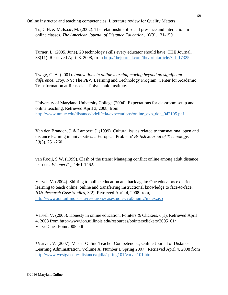Tu, C.H. & McIsaac, M. (2002). The relationship of social presence and interaction in online classes. *The American Journal of Distance Education, 16*(3), 131-150.

Turner, L. (2005, June). 20 technology skills every educator should have. THE Journal, 33(11). Retrieved April 3, 2008, from<http://thejournal.com/the/printarticle/?id=17325>

Twigg, C. A. (2001). *Innovations in online learning moving beyond no significant difference*. Troy, NY: The PEW Learning and Technology Program, Center for Academic Transformation at Rensselaer Polytechnic Institute.

University of Maryland University College (2004). Expectations for classroom setup and online teaching. Retrieved April 3, 2008, from [http://www.umuc.edu/distance/odell/ctla/expectations/online\\_exp\\_doc\\_042105.pdf](http://www.umuc.edu/distance/odell/ctla/expectations/online_exp_doc_042105.pdf) 

Van den Branden, J. & Lambert, J. (1999). Cultural issues related to transnational open and distance learning in universities: a European Problem? *British Journal of Technology, 30*(3), 251-260

van Rooij, S.W. (1999). Clash of the titans: Managing conflict online among adult distance learners. *Webnet (1)*, 1461-1462.

Varvel, V. (2004). Shifting to online education and back again: One educators experience learning to teach online, online and transferring instructional knowledge to face-to-face. *ION Research Case Studies, 3*(2). Retrieved April 4, 2008 from, <http://www.ion.uillinois.edu/resources/casestudies/vol3num2/index.asp>

Varvel, V. (2005). Honesty in online education. Pointers & Clickers, 6(1). Retrieved April 4, 2008 from http://www.ion.uillinois.edu/resources/pointersclickers/2005\_01/ VarvelCheatPoint2005.pdf

\*Varvel, V. (2007). Master Online Teacher Competencies, Online Journal of Distance Learning Administration, Volume X, Number I, Spring 2007 . Retrieved April 4, 2008 from <http://www.westga.edu/~distance/ojdla/spring101/varvel101.htm>